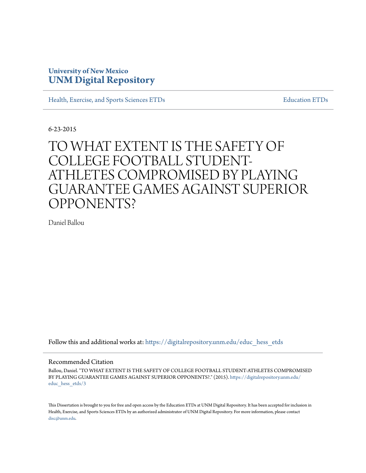# **University of New Mexico [UNM Digital Repository](https://digitalrepository.unm.edu?utm_source=digitalrepository.unm.edu%2Feduc_hess_etds%2F3&utm_medium=PDF&utm_campaign=PDFCoverPages)**

[Health, Exercise, and Sports Sciences ETDs](https://digitalrepository.unm.edu/educ_hess_etds?utm_source=digitalrepository.unm.edu%2Feduc_hess_etds%2F3&utm_medium=PDF&utm_campaign=PDFCoverPages) [Education ETDs](https://digitalrepository.unm.edu/educ_etds?utm_source=digitalrepository.unm.edu%2Feduc_hess_etds%2F3&utm_medium=PDF&utm_campaign=PDFCoverPages)

6-23-2015

# TO WHAT EXTENT IS THE SAFETY OF COLLEGE FOOTBALL STUDENT-ATHLETES COMPROMISED BY PLAYING GUARANTEE GAMES AGAINST SUPERIOR OPPONENTS?

Daniel Ballou

Follow this and additional works at: [https://digitalrepository.unm.edu/educ\\_hess\\_etds](https://digitalrepository.unm.edu/educ_hess_etds?utm_source=digitalrepository.unm.edu%2Feduc_hess_etds%2F3&utm_medium=PDF&utm_campaign=PDFCoverPages)

#### Recommended Citation

Ballou, Daniel. "TO WHAT EXTENT IS THE SAFETY OF COLLEGE FOOTBALL STUDENT-ATHLETES COMPROMISED BY PLAYING GUARANTEE GAMES AGAINST SUPERIOR OPPONENTS?." (2015). [https://digitalrepository.unm.edu/](https://digitalrepository.unm.edu/educ_hess_etds/3?utm_source=digitalrepository.unm.edu%2Feduc_hess_etds%2F3&utm_medium=PDF&utm_campaign=PDFCoverPages) [educ\\_hess\\_etds/3](https://digitalrepository.unm.edu/educ_hess_etds/3?utm_source=digitalrepository.unm.edu%2Feduc_hess_etds%2F3&utm_medium=PDF&utm_campaign=PDFCoverPages)

This Dissertation is brought to you for free and open access by the Education ETDs at UNM Digital Repository. It has been accepted for inclusion in Health, Exercise, and Sports Sciences ETDs by an authorized administrator of UNM Digital Repository. For more information, please contact [disc@unm.edu](mailto:disc@unm.edu).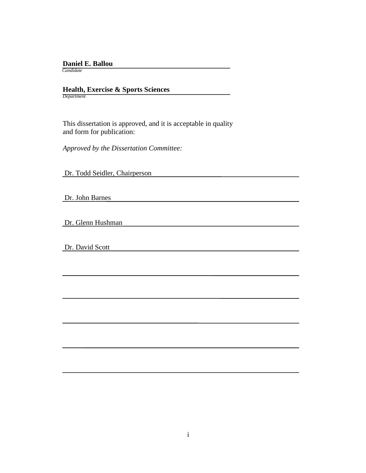## **Daniel E. Ballou**

 *Candidate*

# **Health, Exercise & Sports Sciences** *Department*

 This dissertation is approved, and it is acceptable in quality and form for publication:

*Approved by the Dissertation Committee:*

Dr. Todd Seidler, Chairperson

Dr. John Barnes

Dr. Glenn Hushman

Dr. David Scott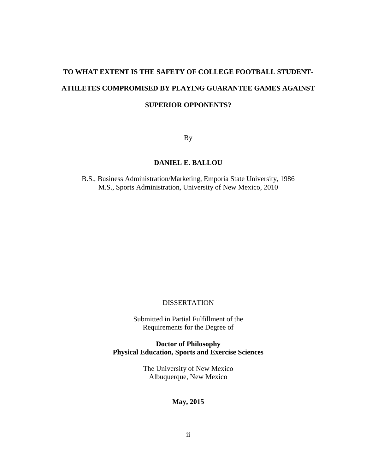# **TO WHAT EXTENT IS THE SAFETY OF COLLEGE FOOTBALL STUDENT-ATHLETES COMPROMISED BY PLAYING GUARANTEE GAMES AGAINST SUPERIOR OPPONENTS?**

By

# **DANIEL E. BALLOU**

B.S., Business Administration/Marketing, Emporia State University, 1986 M.S., Sports Administration, University of New Mexico, 2010

# DISSERTATION

Submitted in Partial Fulfillment of the Requirements for the Degree of

**Doctor of Philosophy Physical Education, Sports and Exercise Sciences**

> The University of New Mexico Albuquerque, New Mexico

# **May, 2015**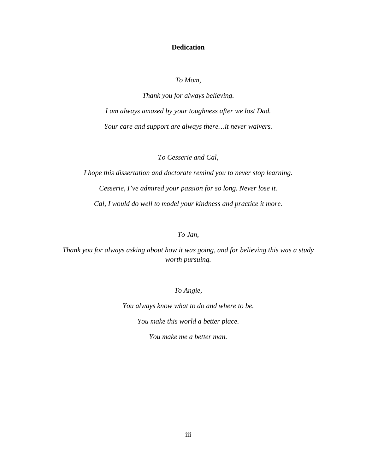## **Dedication**

*To Mom,*

*Thank you for always believing. I am always amazed by your toughness after we lost Dad. Your care and support are always there…it never waivers.*

*To Cesserie and Cal,*

*I hope this dissertation and doctorate remind you to never stop learning. Cesserie, I've admired your passion for so long. Never lose it. Cal, I would do well to model your kindness and practice it more.*

# *To Jan,*

*Thank you for always asking about how it was going, and for believing this was a study worth pursuing.*

*To Angie,*

*You always know what to do and where to be. You make this world a better place.*

*You make me a better man.*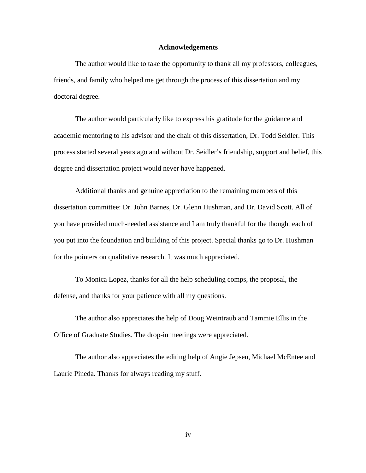#### **Acknowledgements**

The author would like to take the opportunity to thank all my professors, colleagues, friends, and family who helped me get through the process of this dissertation and my doctoral degree.

The author would particularly like to express his gratitude for the guidance and academic mentoring to his advisor and the chair of this dissertation, Dr. Todd Seidler. This process started several years ago and without Dr. Seidler's friendship, support and belief, this degree and dissertation project would never have happened.

Additional thanks and genuine appreciation to the remaining members of this dissertation committee: Dr. John Barnes, Dr. Glenn Hushman, and Dr. David Scott. All of you have provided much-needed assistance and I am truly thankful for the thought each of you put into the foundation and building of this project. Special thanks go to Dr. Hushman for the pointers on qualitative research. It was much appreciated.

To Monica Lopez, thanks for all the help scheduling comps, the proposal, the defense, and thanks for your patience with all my questions.

The author also appreciates the help of Doug Weintraub and Tammie Ellis in the Office of Graduate Studies. The drop-in meetings were appreciated.

The author also appreciates the editing help of Angie Jepsen, Michael McEntee and Laurie Pineda. Thanks for always reading my stuff.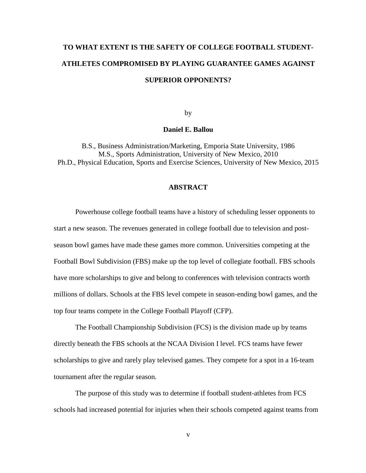# **TO WHAT EXTENT IS THE SAFETY OF COLLEGE FOOTBALL STUDENT-ATHLETES COMPROMISED BY PLAYING GUARANTEE GAMES AGAINST SUPERIOR OPPONENTS?**

by

#### **Daniel E. Ballou**

B.S., Business Administration/Marketing, Emporia State University, 1986 M.S., Sports Administration, University of New Mexico, 2010 Ph.D., Physical Education, Sports and Exercise Sciences, University of New Mexico, 2015

## **ABSTRACT**

Powerhouse college football teams have a history of scheduling lesser opponents to start a new season. The revenues generated in college football due to television and postseason bowl games have made these games more common. Universities competing at the Football Bowl Subdivision (FBS) make up the top level of collegiate football. FBS schools have more scholarships to give and belong to conferences with television contracts worth millions of dollars. Schools at the FBS level compete in season-ending bowl games, and the top four teams compete in the College Football Playoff (CFP).

The Football Championship Subdivision (FCS) is the division made up by teams directly beneath the FBS schools at the NCAA Division I level. FCS teams have fewer scholarships to give and rarely play televised games. They compete for a spot in a 16-team tournament after the regular season.

The purpose of this study was to determine if football student-athletes from FCS schools had increased potential for injuries when their schools competed against teams from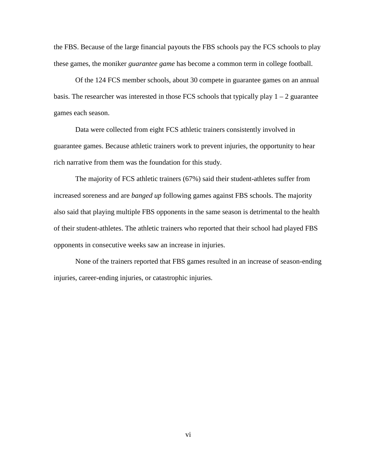the FBS. Because of the large financial payouts the FBS schools pay the FCS schools to play these games, the moniker *guarantee game* has become a common term in college football.

Of the 124 FCS member schools, about 30 compete in guarantee games on an annual basis. The researcher was interested in those FCS schools that typically play  $1 - 2$  guarantee games each season.

Data were collected from eight FCS athletic trainers consistently involved in guarantee games. Because athletic trainers work to prevent injuries, the opportunity to hear rich narrative from them was the foundation for this study.

The majority of FCS athletic trainers (67%) said their student-athletes suffer from increased soreness and are *banged up* following games against FBS schools. The majority also said that playing multiple FBS opponents in the same season is detrimental to the health of their student-athletes. The athletic trainers who reported that their school had played FBS opponents in consecutive weeks saw an increase in injuries.

None of the trainers reported that FBS games resulted in an increase of season-ending injuries, career-ending injuries, or catastrophic injuries.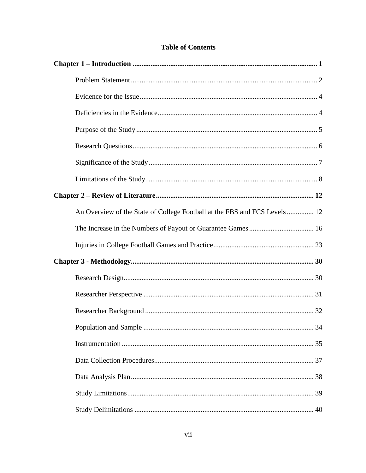| An Overview of the State of College Football at the FBS and FCS Levels 12 |  |
|---------------------------------------------------------------------------|--|
|                                                                           |  |
|                                                                           |  |
|                                                                           |  |
|                                                                           |  |
|                                                                           |  |
|                                                                           |  |
|                                                                           |  |
|                                                                           |  |
|                                                                           |  |
|                                                                           |  |
|                                                                           |  |
|                                                                           |  |

# **Table of Contents**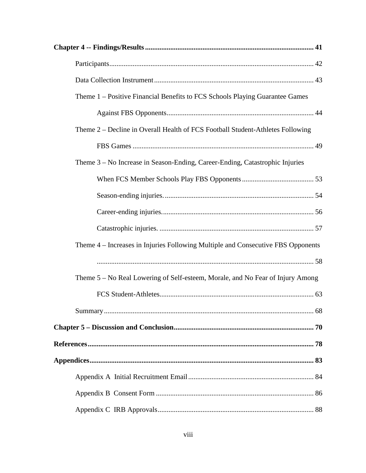| Theme 1 – Positive Financial Benefits to FCS Schools Playing Guarantee Games     |
|----------------------------------------------------------------------------------|
|                                                                                  |
| Theme 2 – Decline in Overall Health of FCS Football Student-Athletes Following   |
|                                                                                  |
| Theme 3 – No Increase in Season-Ending, Career-Ending, Catastrophic Injuries     |
|                                                                                  |
|                                                                                  |
|                                                                                  |
|                                                                                  |
| Theme 4 – Increases in Injuries Following Multiple and Consecutive FBS Opponents |
|                                                                                  |
| Theme 5 – No Real Lowering of Self-esteem, Morale, and No Fear of Injury Among   |
|                                                                                  |
|                                                                                  |
|                                                                                  |
|                                                                                  |
|                                                                                  |
|                                                                                  |
|                                                                                  |
|                                                                                  |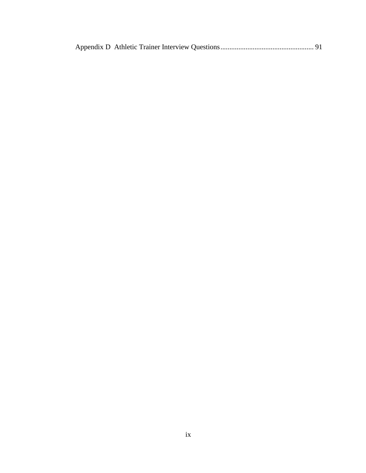|--|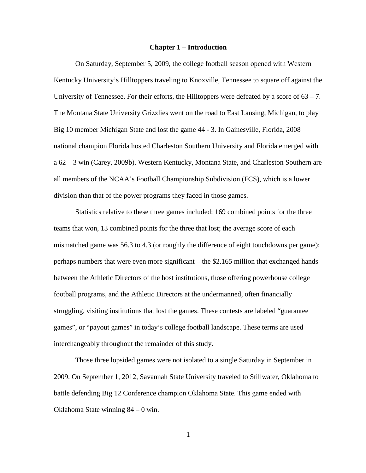#### **Chapter 1 – Introduction**

<span id="page-10-0"></span>On Saturday, September 5, 2009, the college football season opened with Western Kentucky University's Hilltoppers traveling to Knoxville, Tennessee to square off against the University of Tennessee. For their efforts, the Hilltoppers were defeated by a score of  $63 - 7$ . The Montana State University Grizzlies went on the road to East Lansing, Michigan, to play Big 10 member Michigan State and lost the game 44 - 3. In Gainesville, Florida, 2008 national champion Florida hosted Charleston Southern University and Florida emerged with a 62 – 3 win (Carey, 2009b). Western Kentucky, Montana State, and Charleston Southern are all members of the NCAA's Football Championship Subdivision (FCS), which is a lower division than that of the power programs they faced in those games.

Statistics relative to these three games included: 169 combined points for the three teams that won, 13 combined points for the three that lost; the average score of each mismatched game was 56.3 to 4.3 (or roughly the difference of eight touchdowns per game); perhaps numbers that were even more significant – the \$2.165 million that exchanged hands between the Athletic Directors of the host institutions, those offering powerhouse college football programs, and the Athletic Directors at the undermanned, often financially struggling, visiting institutions that lost the games. These contests are labeled "guarantee games", or "payout games" in today's college football landscape. These terms are used interchangeably throughout the remainder of this study.

Those three lopsided games were not isolated to a single Saturday in September in 2009. On September 1, 2012, Savannah State University traveled to Stillwater, Oklahoma to battle defending Big 12 Conference champion Oklahoma State. This game ended with Oklahoma State winning 84 – 0 win.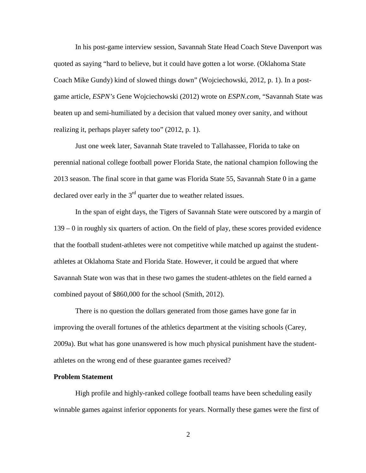In his post-game interview session, Savannah State Head Coach Steve Davenport was quoted as saying "hard to believe, but it could have gotten a lot worse. (Oklahoma State Coach Mike Gundy) kind of slowed things down" (Wojciechowski, 2012, p. 1). In a postgame article, *ESPN's* Gene Wojciechowski (2012) wrote on *ESPN.com*, "Savannah State was beaten up and semi-humiliated by a decision that valued money over sanity, and without realizing it, perhaps player safety too" (2012, p. 1).

Just one week later, Savannah State traveled to Tallahassee, Florida to take on perennial national college football power Florida State, the national champion following the 2013 season. The final score in that game was Florida State 55, Savannah State 0 in a game declared over early in the  $3<sup>rd</sup>$  quarter due to weather related issues.

In the span of eight days, the Tigers of Savannah State were outscored by a margin of 139 – 0 in roughly six quarters of action. On the field of play, these scores provided evidence that the football student-athletes were not competitive while matched up against the studentathletes at Oklahoma State and Florida State. However, it could be argued that where Savannah State won was that in these two games the student-athletes on the field earned a combined payout of \$860,000 for the school (Smith, 2012).

There is no question the dollars generated from those games have gone far in improving the overall fortunes of the athletics department at the visiting schools (Carey, 2009a). But what has gone unanswered is how much physical punishment have the studentathletes on the wrong end of these guarantee games received?

#### <span id="page-11-0"></span>**Problem Statement**

High profile and highly-ranked college football teams have been scheduling easily winnable games against inferior opponents for years. Normally these games were the first of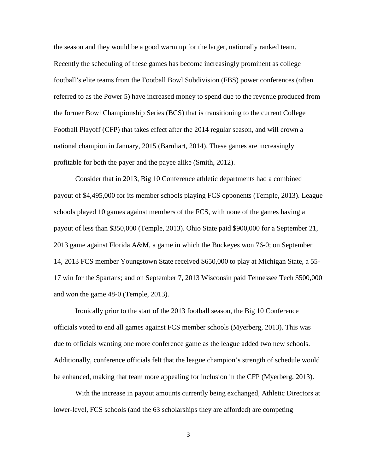the season and they would be a good warm up for the larger, nationally ranked team. Recently the scheduling of these games has become increasingly prominent as college football's elite teams from the Football Bowl Subdivision (FBS) power conferences (often referred to as the Power 5) have increased money to spend due to the revenue produced from the former Bowl Championship Series (BCS) that is transitioning to the current College Football Playoff (CFP) that takes effect after the 2014 regular season, and will crown a national champion in January, 2015 (Barnhart, 2014). These games are increasingly profitable for both the payer and the payee alike (Smith, 2012).

Consider that in 2013, Big 10 Conference athletic departments had a combined payout of \$4,495,000 for its member schools playing FCS opponents (Temple, 2013). League schools played 10 games against members of the FCS, with none of the games having a payout of less than \$350,000 (Temple, 2013). Ohio State paid \$900,000 for a September 21, 2013 game against Florida A&M, a game in which the Buckeyes won 76-0; on September 14, 2013 FCS member Youngstown State received \$650,000 to play at Michigan State, a 55- 17 win for the Spartans; and on September 7, 2013 Wisconsin paid Tennessee Tech \$500,000 and won the game 48-0 (Temple, 2013).

Ironically prior to the start of the 2013 football season, the Big 10 Conference officials voted to end all games against FCS member schools (Myerberg, 2013). This was due to officials wanting one more conference game as the league added two new schools. Additionally, conference officials felt that the league champion's strength of schedule would be enhanced, making that team more appealing for inclusion in the CFP (Myerberg, 2013).

With the increase in payout amounts currently being exchanged, Athletic Directors at lower-level, FCS schools (and the 63 scholarships they are afforded) are competing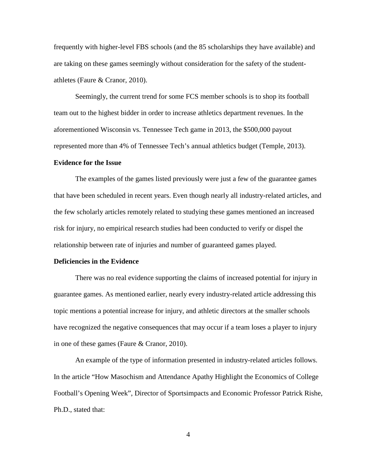frequently with higher-level FBS schools (and the 85 scholarships they have available) and are taking on these games seemingly without consideration for the safety of the studentathletes (Faure & Cranor, 2010).

Seemingly, the current trend for some FCS member schools is to shop its football team out to the highest bidder in order to increase athletics department revenues. In the aforementioned Wisconsin vs. Tennessee Tech game in 2013, the \$500,000 payout represented more than 4% of Tennessee Tech's annual athletics budget (Temple, 2013).

#### <span id="page-13-0"></span>**Evidence for the Issue**

The examples of the games listed previously were just a few of the guarantee games that have been scheduled in recent years. Even though nearly all industry-related articles, and the few scholarly articles remotely related to studying these games mentioned an increased risk for injury, no empirical research studies had been conducted to verify or dispel the relationship between rate of injuries and number of guaranteed games played.

### <span id="page-13-1"></span>**Deficiencies in the Evidence**

There was no real evidence supporting the claims of increased potential for injury in guarantee games. As mentioned earlier, nearly every industry-related article addressing this topic mentions a potential increase for injury, and athletic directors at the smaller schools have recognized the negative consequences that may occur if a team loses a player to injury in one of these games (Faure & Cranor, 2010).

An example of the type of information presented in industry-related articles follows. In the article "How Masochism and Attendance Apathy Highlight the Economics of College Football's Opening Week", Director of Sportsimpacts and Economic Professor Patrick Rishe, Ph.D., stated that: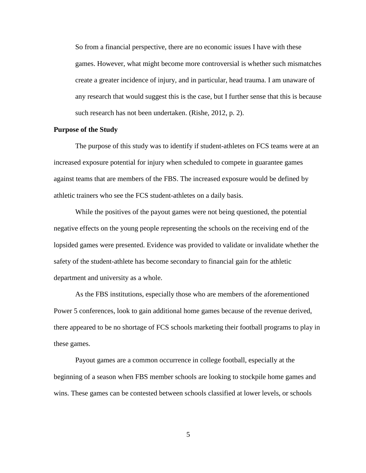So from a financial perspective, there are no economic issues I have with these games. However, what might become more controversial is whether such mismatches create a greater incidence of injury, and in particular, head trauma. I am unaware of any research that would suggest this is the case, but I further sense that this is because such research has not been undertaken. (Rishe, 2012, p. 2).

#### <span id="page-14-0"></span>**Purpose of the Study**

The purpose of this study was to identify if student-athletes on FCS teams were at an increased exposure potential for injury when scheduled to compete in guarantee games against teams that are members of the FBS. The increased exposure would be defined by athletic trainers who see the FCS student-athletes on a daily basis.

While the positives of the payout games were not being questioned, the potential negative effects on the young people representing the schools on the receiving end of the lopsided games were presented. Evidence was provided to validate or invalidate whether the safety of the student-athlete has become secondary to financial gain for the athletic department and university as a whole.

As the FBS institutions, especially those who are members of the aforementioned Power 5 conferences, look to gain additional home games because of the revenue derived, there appeared to be no shortage of FCS schools marketing their football programs to play in these games.

Payout games are a common occurrence in college football, especially at the beginning of a season when FBS member schools are looking to stockpile home games and wins. These games can be contested between schools classified at lower levels, or schools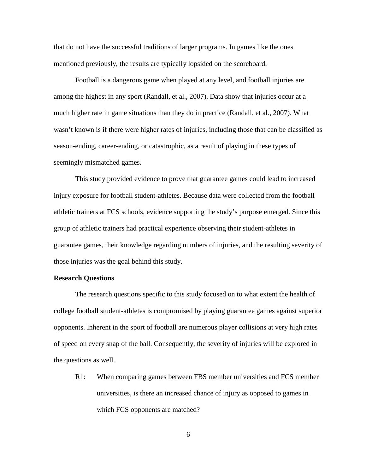that do not have the successful traditions of larger programs. In games like the ones mentioned previously, the results are typically lopsided on the scoreboard.

Football is a dangerous game when played at any level, and football injuries are among the highest in any sport (Randall, et al., 2007). Data show that injuries occur at a much higher rate in game situations than they do in practice (Randall, et al., 2007). What wasn't known is if there were higher rates of injuries, including those that can be classified as season-ending, career-ending, or catastrophic, as a result of playing in these types of seemingly mismatched games.

This study provided evidence to prove that guarantee games could lead to increased injury exposure for football student-athletes. Because data were collected from the football athletic trainers at FCS schools, evidence supporting the study's purpose emerged. Since this group of athletic trainers had practical experience observing their student-athletes in guarantee games, their knowledge regarding numbers of injuries, and the resulting severity of those injuries was the goal behind this study.

### <span id="page-15-0"></span>**Research Questions**

The research questions specific to this study focused on to what extent the health of college football student-athletes is compromised by playing guarantee games against superior opponents. Inherent in the sport of football are numerous player collisions at very high rates of speed on every snap of the ball. Consequently, the severity of injuries will be explored in the questions as well.

R1: When comparing games between FBS member universities and FCS member universities, is there an increased chance of injury as opposed to games in which FCS opponents are matched?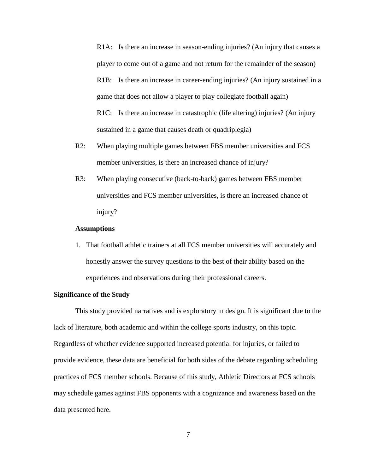R1A: Is there an increase in season-ending injuries? (An injury that causes a player to come out of a game and not return for the remainder of the season) R1B: Is there an increase in career-ending injuries? (An injury sustained in a game that does not allow a player to play collegiate football again) R1C: Is there an increase in catastrophic (life altering) injuries? (An injury sustained in a game that causes death or quadriplegia)

- R2: When playing multiple games between FBS member universities and FCS member universities, is there an increased chance of injury?
- R3: When playing consecutive (back-to-back) games between FBS member universities and FCS member universities, is there an increased chance of injury?

#### **Assumptions**

1. That football athletic trainers at all FCS member universities will accurately and honestly answer the survey questions to the best of their ability based on the experiences and observations during their professional careers.

## <span id="page-16-0"></span>**Significance of the Study**

This study provided narratives and is exploratory in design. It is significant due to the lack of literature, both academic and within the college sports industry, on this topic. Regardless of whether evidence supported increased potential for injuries, or failed to provide evidence, these data are beneficial for both sides of the debate regarding scheduling practices of FCS member schools. Because of this study, Athletic Directors at FCS schools may schedule games against FBS opponents with a cognizance and awareness based on the data presented here.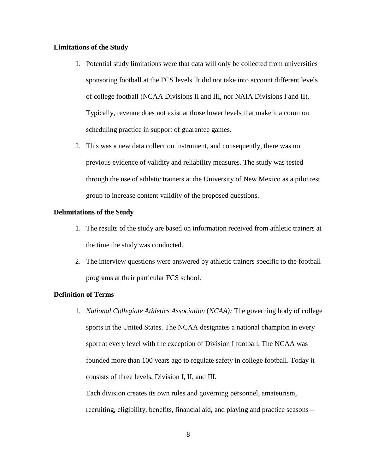#### <span id="page-17-0"></span>**Limitations of the Study**

- 1. Potential study limitations were that data will only be collected from universities sponsoring football at the FCS levels. It did not take into account different levels of college football (NCAA Divisions II and III, nor NAIA Divisions I and II). Typically, revenue does not exist at those lower levels that make it a common scheduling practice in support of guarantee games.
- 2. This was a new data collection instrument, and consequently, there was no previous evidence of validity and reliability measures. The study was tested through the use of athletic trainers at the University of New Mexico as a pilot test group to increase content validity of the proposed questions.

#### **Delimitations of the Study**

- 1. The results of the study are based on information received from athletic trainers at the time the study was conducted.
- 2. The interview questions were answered by athletic trainers specific to the football programs at their particular FCS school.

### **Definition of Terms**

1. *National Collegiate Athletics Association* (*NCAA):* The governing body of college sports in the United States. The NCAA designates a national champion in every sport at every level with the exception of Division I football. The NCAA was founded more than 100 years ago to regulate safety in college football. Today it consists of three levels, Division I, II, and III.

Each division creates its own rules and governing personnel, amateurism, recruiting, eligibility, benefits, financial aid, and playing and practice seasons –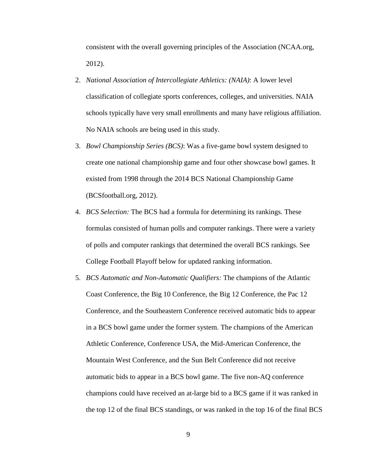consistent with the overall governing principles of the Association (NCAA.org, 2012).

- 2. *National Association of Intercollegiate Athletics: (NAIA)*: A lower level classification of collegiate sports conferences, colleges, and universities. NAIA schools typically have very small enrollments and many have religious affiliation. No NAIA schools are being used in this study.
- 3. *Bowl Championship Series (BCS)*: Was a five-game bowl system designed to create one national championship game and four other showcase bowl games. It existed from 1998 through the 2014 BCS National Championship Game (BCSfootball.org, 2012).
- 4. *BCS Selection:* The BCS had a formula for determining its rankings. These formulas consisted of human polls and computer rankings. There were a variety of polls and computer rankings that determined the overall BCS rankings. See College Football Playoff below for updated ranking information.
- 5. *BCS Automatic and Non-Automatic Qualifiers:* The champions of the Atlantic Coast Conference, the Big 10 Conference, the Big 12 Conference, the Pac 12 Conference, and the Southeastern Conference received automatic bids to appear in a BCS bowl game under the former system. The champions of the American Athletic Conference, Conference USA, the Mid-American Conference, the Mountain West Conference, and the Sun Belt Conference did not receive automatic bids to appear in a BCS bowl game. The five non-AQ conference champions could have received an at-large bid to a BCS game if it was ranked in the top 12 of the final BCS standings, or was ranked in the top 16 of the final BCS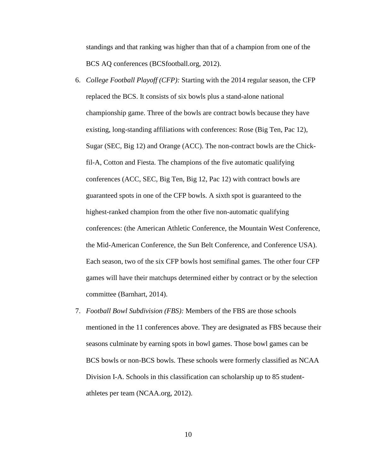standings and that ranking was higher than that of a champion from one of the BCS AQ conferences (BCSfootball.org, 2012).

- 6. *College Football Playoff (CFP):* Starting with the 2014 regular season, the CFP replaced the BCS. It consists of six bowls plus a stand-alone national championship game. Three of the bowls are contract bowls because they have existing, long-standing affiliations with conferences: Rose (Big Ten, Pac 12), Sugar (SEC, Big 12) and Orange (ACC). The non-contract bowls are the Chickfil-A, Cotton and Fiesta. The champions of the five automatic qualifying conferences (ACC, SEC, Big Ten, Big 12, Pac 12) with contract bowls are guaranteed spots in one of the CFP bowls. A sixth spot is guaranteed to the highest-ranked champion from the other five non-automatic qualifying conferences: (the American Athletic Conference, the Mountain West Conference, the Mid-American Conference, the Sun Belt Conference, and Conference USA). Each season, two of the six CFP bowls host semifinal games. The other four CFP games will have their matchups determined either by contract or by the selection committee (Barnhart, 2014).
- 7. *Football Bowl Subdivision (FBS):* Members of the FBS are those schools mentioned in the 11 conferences above. They are designated as FBS because their seasons culminate by earning spots in bowl games. Those bowl games can be BCS bowls or non-BCS bowls. These schools were formerly classified as NCAA Division I-A. Schools in this classification can scholarship up to 85 studentathletes per team (NCAA.org, 2012).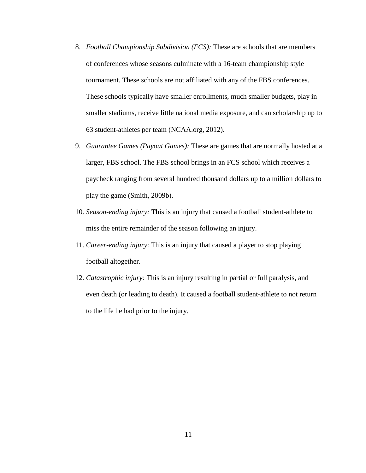- 8. *Football Championship Subdivision (FCS):* These are schools that are members of conferences whose seasons culminate with a 16-team championship style tournament. These schools are not affiliated with any of the FBS conferences. These schools typically have smaller enrollments, much smaller budgets, play in smaller stadiums, receive little national media exposure, and can scholarship up to 63 student-athletes per team (NCAA.org, 2012).
- 9. *Guarantee Games (Payout Games):* These are games that are normally hosted at a larger, FBS school. The FBS school brings in an FCS school which receives a paycheck ranging from several hundred thousand dollars up to a million dollars to play the game (Smith, 2009b).
- 10. *Season-ending injury:* This is an injury that caused a football student-athlete to miss the entire remainder of the season following an injury.
- 11. *Career-ending injury*: This is an injury that caused a player to stop playing football altogether.
- 12. *Catastrophic injury:* This is an injury resulting in partial or full paralysis, and even death (or leading to death). It caused a football student-athlete to not return to the life he had prior to the injury.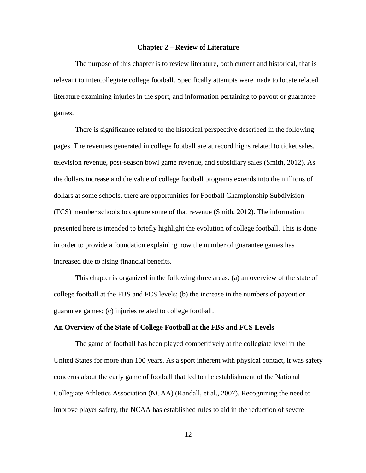#### **Chapter 2 – Review of Literature**

<span id="page-21-0"></span>The purpose of this chapter is to review literature, both current and historical, that is relevant to intercollegiate college football. Specifically attempts were made to locate related literature examining injuries in the sport, and information pertaining to payout or guarantee games.

There is significance related to the historical perspective described in the following pages. The revenues generated in college football are at record highs related to ticket sales, television revenue, post-season bowl game revenue, and subsidiary sales (Smith, 2012). As the dollars increase and the value of college football programs extends into the millions of dollars at some schools, there are opportunities for Football Championship Subdivision (FCS) member schools to capture some of that revenue (Smith, 2012). The information presented here is intended to briefly highlight the evolution of college football. This is done in order to provide a foundation explaining how the number of guarantee games has increased due to rising financial benefits.

This chapter is organized in the following three areas: (a) an overview of the state of college football at the FBS and FCS levels; (b) the increase in the numbers of payout or guarantee games; (c) injuries related to college football.

#### <span id="page-21-1"></span>**An Overview of the State of College Football at the FBS and FCS Levels**

The game of football has been played competitively at the collegiate level in the United States for more than 100 years. As a sport inherent with physical contact, it was safety concerns about the early game of football that led to the establishment of the National Collegiate Athletics Association (NCAA) (Randall, et al., 2007). Recognizing the need to improve player safety, the NCAA has established rules to aid in the reduction of severe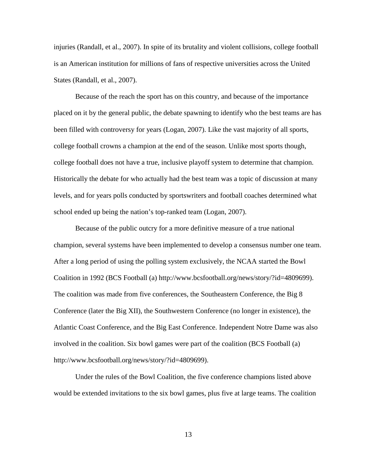injuries (Randall, et al., 2007). In spite of its brutality and violent collisions, college football is an American institution for millions of fans of respective universities across the United States (Randall, et al., 2007).

Because of the reach the sport has on this country, and because of the importance placed on it by the general public, the debate spawning to identify who the best teams are has been filled with controversy for years (Logan, 2007). Like the vast majority of all sports, college football crowns a champion at the end of the season. Unlike most sports though, college football does not have a true, inclusive playoff system to determine that champion. Historically the debate for who actually had the best team was a topic of discussion at many levels, and for years polls conducted by sportswriters and football coaches determined what school ended up being the nation's top-ranked team (Logan, 2007).

Because of the public outcry for a more definitive measure of a true national champion, several systems have been implemented to develop a consensus number one team. After a long period of using the polling system exclusively, the NCAA started the Bowl Coalition in 1992 (BCS Football (a) http://www.bcsfootball.org/news/story/?id=4809699). The coalition was made from five conferences, the Southeastern Conference, the Big 8 Conference (later the Big XII), the Southwestern Conference (no longer in existence), the Atlantic Coast Conference, and the Big East Conference. Independent Notre Dame was also involved in the coalition. Six bowl games were part of the coalition (BCS Football (a) http://www.bcsfootball.org/news/story/?id=4809699).

Under the rules of the Bowl Coalition, the five conference champions listed above would be extended invitations to the six bowl games, plus five at large teams. The coalition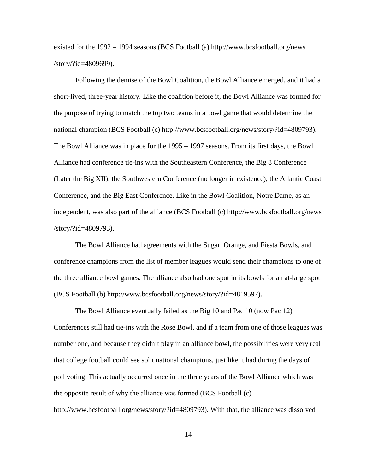existed for the 1992 – 1994 seasons (BCS Football (a)<http://www.bcsfootball.org/news> /story/?id=4809699).

Following the demise of the Bowl Coalition, the Bowl Alliance emerged, and it had a short-lived, three-year history. Like the coalition before it, the Bowl Alliance was formed for the purpose of trying to match the top two teams in a bowl game that would determine the national champion (BCS Football (c) http://www.bcsfootball.org/news/story/?id=4809793). The Bowl Alliance was in place for the 1995 – 1997 seasons. From its first days, the Bowl Alliance had conference tie-ins with the Southeastern Conference, the Big 8 Conference (Later the Big XII), the Southwestern Conference (no longer in existence), the Atlantic Coast Conference, and the Big East Conference. Like in the Bowl Coalition, Notre Dame, as an independent, was also part of the alliance (BCS Football (c)<http://www.bcsfootball.org/news> /story/?id=4809793).

The Bowl Alliance had agreements with the Sugar, Orange, and Fiesta Bowls, and conference champions from the list of member leagues would send their champions to one of the three alliance bowl games. The alliance also had one spot in its bowls for an at-large spot (BCS Football (b) http://www.bcsfootball.org/news/story/?id=4819597).

The Bowl Alliance eventually failed as the Big 10 and Pac 10 (now Pac 12) Conferences still had tie-ins with the Rose Bowl, and if a team from one of those leagues was number one, and because they didn't play in an alliance bowl, the possibilities were very real that college football could see split national champions, just like it had during the days of poll voting. This actually occurred once in the three years of the Bowl Alliance which was the opposite result of why the alliance was formed (BCS Football (c) http://www.bcsfootball.org/news/story/?id=4809793). With that, the alliance was dissolved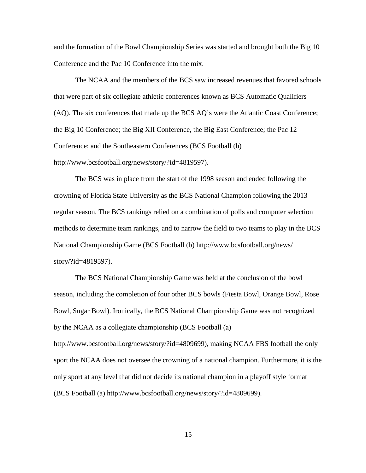and the formation of the Bowl Championship Series was started and brought both the Big 10 Conference and the Pac 10 Conference into the mix.

The NCAA and the members of the BCS saw increased revenues that favored schools that were part of six collegiate athletic conferences known as BCS Automatic Qualifiers (AQ). The six conferences that made up the BCS AQ's were the Atlantic Coast Conference; the Big 10 Conference; the Big XII Conference, the Big East Conference; the Pac 12 Conference; and the Southeastern Conferences (BCS Football (b) http://www.bcsfootball.org/news/story/?id=4819597).

The BCS was in place from the start of the 1998 season and ended following the crowning of Florida State University as the BCS National Champion following the 2013 regular season. The BCS rankings relied on a combination of polls and computer selection methods to determine team rankings, and to narrow the field to two teams to play in the BCS National Championship Game (BCS Football (b) http://www.bcsfootball.org/news/ story/?id=4819597).

The BCS National Championship Game was held at the conclusion of the bowl season, including the completion of four other BCS bowls (Fiesta Bowl, Orange Bowl, Rose Bowl, Sugar Bowl). Ironically, the BCS National Championship Game was not recognized by the NCAA as a collegiate championship (BCS Football (a)

http://www.bcsfootball.org/news/story/?id=4809699), making NCAA FBS football the only sport the NCAA does not oversee the crowning of a national champion. Furthermore, it is the only sport at any level that did not decide its national champion in a playoff style format (BCS Football (a) http://www.bcsfootball.org/news/story/?id=4809699).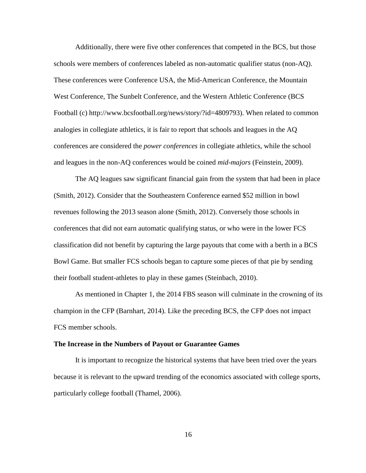Additionally, there were five other conferences that competed in the BCS, but those schools were members of conferences labeled as non-automatic qualifier status (non-AQ). These conferences were Conference USA, the Mid-American Conference, the Mountain West Conference, The Sunbelt Conference, and the Western Athletic Conference (BCS Football (c) http://www.bcsfootball.org/news/story/?id=4809793). When related to common analogies in collegiate athletics, it is fair to report that schools and leagues in the AQ conferences are considered the *power conferences* in collegiate athletics, while the school and leagues in the non-AQ conferences would be coined *mid-majors* (Feinstein, 2009).

The AQ leagues saw significant financial gain from the system that had been in place (Smith, 2012). Consider that the Southeastern Conference earned \$52 million in bowl revenues following the 2013 season alone (Smith, 2012). Conversely those schools in conferences that did not earn automatic qualifying status, or who were in the lower FCS classification did not benefit by capturing the large payouts that come with a berth in a BCS Bowl Game. But smaller FCS schools began to capture some pieces of that pie by sending their football student-athletes to play in these games (Steinbach, 2010).

As mentioned in Chapter 1, the 2014 FBS season will culminate in the crowning of its champion in the CFP (Barnhart, 2014). Like the preceding BCS, the CFP does not impact FCS member schools.

#### <span id="page-25-0"></span>**The Increase in the Numbers of Payout or Guarantee Games**

It is important to recognize the historical systems that have been tried over the years because it is relevant to the upward trending of the economics associated with college sports, particularly college football (Thamel, 2006).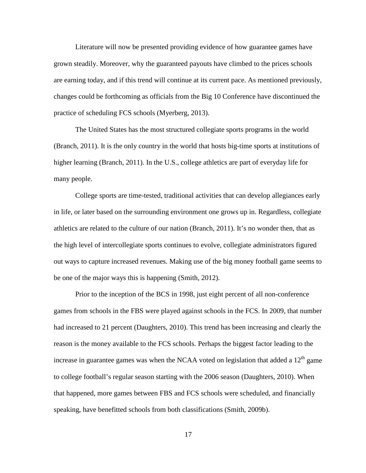Literature will now be presented providing evidence of how guarantee games have grown steadily. Moreover, why the guaranteed payouts have climbed to the prices schools are earning today, and if this trend will continue at its current pace. As mentioned previously, changes could be forthcoming as officials from the Big 10 Conference have discontinued the practice of scheduling FCS schools (Myerberg, 2013).

The United States has the most structured collegiate sports programs in the world (Branch, 2011). It is the only country in the world that hosts big-time sports at institutions of higher learning (Branch, 2011). In the U.S., college athletics are part of everyday life for many people.

College sports are time-tested, traditional activities that can develop allegiances early in life, or later based on the surrounding environment one grows up in. Regardless, collegiate athletics are related to the culture of our nation (Branch, 2011). It's no wonder then, that as the high level of intercollegiate sports continues to evolve, collegiate administrators figured out ways to capture increased revenues. Making use of the big money football game seems to be one of the major ways this is happening (Smith, 2012).

Prior to the inception of the BCS in 1998, just eight percent of all non-conference games from schools in the FBS were played against schools in the FCS. In 2009, that number had increased to 21 percent (Daughters, 2010). This trend has been increasing and clearly the reason is the money available to the FCS schools. Perhaps the biggest factor leading to the increase in guarantee games was when the NCAA voted on legislation that added a  $12<sup>th</sup>$  game to college football's regular season starting with the 2006 season (Daughters, 2010). When that happened, more games between FBS and FCS schools were scheduled, and financially speaking, have benefitted schools from both classifications (Smith, 2009b).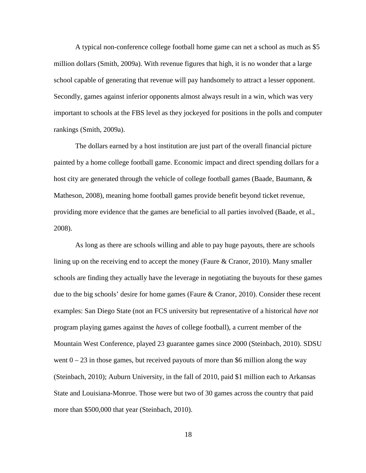A typical non-conference college football home game can net a school as much as \$5 million dollars (Smith, 2009a). With revenue figures that high, it is no wonder that a large school capable of generating that revenue will pay handsomely to attract a lesser opponent. Secondly, games against inferior opponents almost always result in a win, which was very important to schools at the FBS level as they jockeyed for positions in the polls and computer rankings (Smith, 2009a).

The dollars earned by a host institution are just part of the overall financial picture painted by a home college football game. Economic impact and direct spending dollars for a host city are generated through the vehicle of college football games (Baade, Baumann, & Matheson, 2008), meaning home football games provide benefit beyond ticket revenue, providing more evidence that the games are beneficial to all parties involved (Baade, et al., 2008).

As long as there are schools willing and able to pay huge payouts, there are schools lining up on the receiving end to accept the money (Faure & Cranor, 2010). Many smaller schools are finding they actually have the leverage in negotiating the buyouts for these games due to the big schools' desire for home games (Faure & Cranor, 2010). Consider these recent examples: San Diego State (not an FCS university but representative of a historical *have not* program playing games against the *haves* of college football), a current member of the Mountain West Conference, played 23 guarantee games since 2000 (Steinbach, 2010). SDSU went  $0 - 23$  in those games, but received payouts of more than \$6 million along the way (Steinbach, 2010); Auburn University, in the fall of 2010, paid \$1 million each to Arkansas State and Louisiana-Monroe. Those were but two of 30 games across the country that paid more than \$500,000 that year (Steinbach, 2010).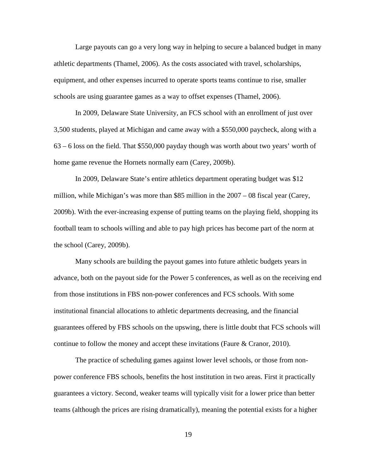Large payouts can go a very long way in helping to secure a balanced budget in many athletic departments (Thamel, 2006). As the costs associated with travel, scholarships, equipment, and other expenses incurred to operate sports teams continue to rise, smaller schools are using guarantee games as a way to offset expenses (Thamel, 2006).

In 2009, Delaware State University, an FCS school with an enrollment of just over 3,500 students, played at Michigan and came away with a \$550,000 paycheck, along with a 63 – 6 loss on the field. That \$550,000 payday though was worth about two years' worth of home game revenue the Hornets normally earn (Carey, 2009b).

In 2009, Delaware State's entire athletics department operating budget was \$12 million, while Michigan's was more than \$85 million in the  $2007 - 08$  fiscal year (Carey, 2009b). With the ever-increasing expense of putting teams on the playing field, shopping its football team to schools willing and able to pay high prices has become part of the norm at the school (Carey, 2009b).

Many schools are building the payout games into future athletic budgets years in advance, both on the payout side for the Power 5 conferences, as well as on the receiving end from those institutions in FBS non-power conferences and FCS schools. With some institutional financial allocations to athletic departments decreasing, and the financial guarantees offered by FBS schools on the upswing, there is little doubt that FCS schools will continue to follow the money and accept these invitations (Faure & Cranor, 2010).

The practice of scheduling games against lower level schools, or those from nonpower conference FBS schools, benefits the host institution in two areas. First it practically guarantees a victory. Second, weaker teams will typically visit for a lower price than better teams (although the prices are rising dramatically), meaning the potential exists for a higher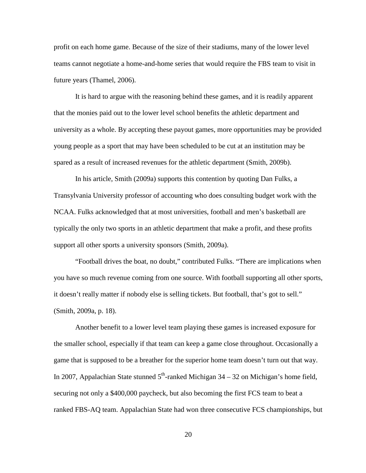profit on each home game. Because of the size of their stadiums, many of the lower level teams cannot negotiate a home-and-home series that would require the FBS team to visit in future years (Thamel, 2006).

It is hard to argue with the reasoning behind these games, and it is readily apparent that the monies paid out to the lower level school benefits the athletic department and university as a whole. By accepting these payout games, more opportunities may be provided young people as a sport that may have been scheduled to be cut at an institution may be spared as a result of increased revenues for the athletic department (Smith, 2009b).

In his article, Smith (2009a) supports this contention by quoting Dan Fulks, a Transylvania University professor of accounting who does consulting budget work with the NCAA. Fulks acknowledged that at most universities, football and men's basketball are typically the only two sports in an athletic department that make a profit, and these profits support all other sports a university sponsors (Smith, 2009a).

"Football drives the boat, no doubt," contributed Fulks. "There are implications when you have so much revenue coming from one source. With football supporting all other sports, it doesn't really matter if nobody else is selling tickets. But football, that's got to sell." (Smith, 2009a, p. 18).

Another benefit to a lower level team playing these games is increased exposure for the smaller school, especially if that team can keep a game close throughout. Occasionally a game that is supposed to be a breather for the superior home team doesn't turn out that way. In 2007, Appalachian State stunned  $5<sup>th</sup>$ -ranked Michigan 34 – 32 on Michigan's home field, securing not only a \$400,000 paycheck, but also becoming the first FCS team to beat a ranked FBS-AQ team. Appalachian State had won three consecutive FCS championships, but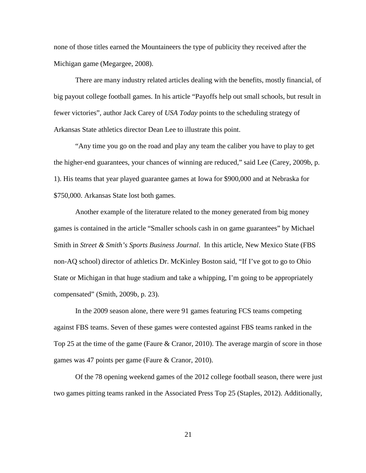none of those titles earned the Mountaineers the type of publicity they received after the Michigan game (Megargee, 2008).

There are many industry related articles dealing with the benefits, mostly financial, of big payout college football games. In his article "Payoffs help out small schools, but result in fewer victories", author Jack Carey of *USA Today* points to the scheduling strategy of Arkansas State athletics director Dean Lee to illustrate this point.

"Any time you go on the road and play any team the caliber you have to play to get the higher-end guarantees, your chances of winning are reduced," said Lee (Carey, 2009b, p. 1). His teams that year played guarantee games at Iowa for \$900,000 and at Nebraska for \$750,000. Arkansas State lost both games.

Another example of the literature related to the money generated from big money games is contained in the article "Smaller schools cash in on game guarantees" by Michael Smith in *Street & Smith's Sports Business Journal*. In this article, New Mexico State (FBS non-AQ school) director of athletics Dr. McKinley Boston said, "If I've got to go to Ohio State or Michigan in that huge stadium and take a whipping, I'm going to be appropriately compensated" (Smith, 2009b, p. 23).

In the 2009 season alone, there were 91 games featuring FCS teams competing against FBS teams. Seven of these games were contested against FBS teams ranked in the Top 25 at the time of the game (Faure & Cranor, 2010). The average margin of score in those games was 47 points per game (Faure & Cranor, 2010).

Of the 78 opening weekend games of the 2012 college football season, there were just two games pitting teams ranked in the Associated Press Top 25 (Staples, 2012). Additionally,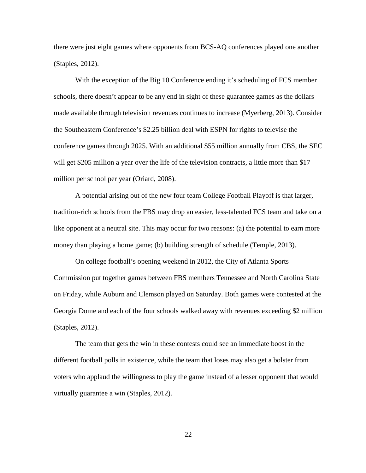there were just eight games where opponents from BCS-AQ conferences played one another (Staples, 2012).

With the exception of the Big 10 Conference ending it's scheduling of FCS member schools, there doesn't appear to be any end in sight of these guarantee games as the dollars made available through television revenues continues to increase (Myerberg, 2013). Consider the Southeastern Conference's \$2.25 billion deal with ESPN for rights to televise the conference games through 2025. With an additional \$55 million annually from CBS, the SEC will get \$205 million a year over the life of the television contracts, a little more than \$17 million per school per year (Oriard, 2008).

A potential arising out of the new four team College Football Playoff is that larger, tradition-rich schools from the FBS may drop an easier, less-talented FCS team and take on a like opponent at a neutral site. This may occur for two reasons: (a) the potential to earn more money than playing a home game; (b) building strength of schedule (Temple, 2013).

On college football's opening weekend in 2012, the City of Atlanta Sports Commission put together games between FBS members Tennessee and North Carolina State on Friday, while Auburn and Clemson played on Saturday. Both games were contested at the Georgia Dome and each of the four schools walked away with revenues exceeding \$2 million (Staples, 2012).

The team that gets the win in these contests could see an immediate boost in the different football polls in existence, while the team that loses may also get a bolster from voters who applaud the willingness to play the game instead of a lesser opponent that would virtually guarantee a win (Staples, 2012).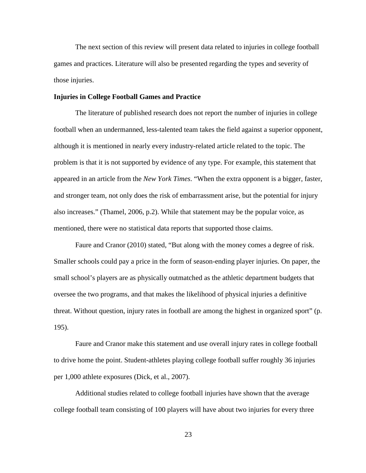The next section of this review will present data related to injuries in college football games and practices. Literature will also be presented regarding the types and severity of those injuries.

#### <span id="page-32-0"></span>**Injuries in College Football Games and Practice**

The literature of published research does not report the number of injuries in college football when an undermanned, less-talented team takes the field against a superior opponent, although it is mentioned in nearly every industry-related article related to the topic. The problem is that it is not supported by evidence of any type. For example, this statement that appeared in an article from the *New York Times*. "When the extra opponent is a bigger, faster, and stronger team, not only does the risk of embarrassment arise, but the potential for injury also increases." (Thamel, 2006, p.2). While that statement may be the popular voice, as mentioned, there were no statistical data reports that supported those claims.

Faure and Cranor (2010) stated, "But along with the money comes a degree of risk. Smaller schools could pay a price in the form of season-ending player injuries. On paper, the small school's players are as physically outmatched as the athletic department budgets that oversee the two programs, and that makes the likelihood of physical injuries a definitive threat. Without question, injury rates in football are among the highest in organized sport" (p. 195).

Faure and Cranor make this statement and use overall injury rates in college football to drive home the point. Student-athletes playing college football suffer roughly 36 injuries per 1,000 athlete exposures (Dick, et al., 2007).

Additional studies related to college football injuries have shown that the average college football team consisting of 100 players will have about two injuries for every three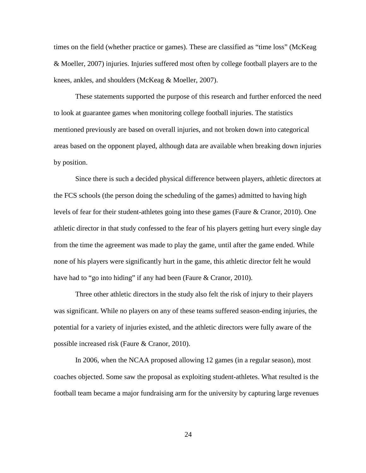times on the field (whether practice or games). These are classified as "time loss" (McKeag & Moeller, 2007) injuries. Injuries suffered most often by college football players are to the knees, ankles, and shoulders (McKeag & Moeller, 2007).

These statements supported the purpose of this research and further enforced the need to look at guarantee games when monitoring college football injuries. The statistics mentioned previously are based on overall injuries, and not broken down into categorical areas based on the opponent played, although data are available when breaking down injuries by position.

Since there is such a decided physical difference between players, athletic directors at the FCS schools (the person doing the scheduling of the games) admitted to having high levels of fear for their student-athletes going into these games (Faure & Cranor, 2010). One athletic director in that study confessed to the fear of his players getting hurt every single day from the time the agreement was made to play the game, until after the game ended. While none of his players were significantly hurt in the game, this athletic director felt he would have had to "go into hiding" if any had been (Faure & Cranor, 2010).

Three other athletic directors in the study also felt the risk of injury to their players was significant. While no players on any of these teams suffered season-ending injuries, the potential for a variety of injuries existed, and the athletic directors were fully aware of the possible increased risk (Faure & Cranor, 2010).

In 2006, when the NCAA proposed allowing 12 games (in a regular season), most coaches objected. Some saw the proposal as exploiting student-athletes. What resulted is the football team became a major fundraising arm for the university by capturing large revenues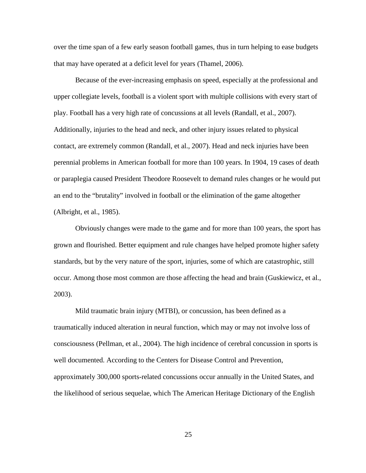over the time span of a few early season football games, thus in turn helping to ease budgets that may have operated at a deficit level for years (Thamel, 2006).

Because of the ever-increasing emphasis on speed, especially at the professional and upper collegiate levels, football is a violent sport with multiple collisions with every start of play. Football has a very high rate of concussions at all levels (Randall, et al., 2007). Additionally, injuries to the head and neck, and other injury issues related to physical contact, are extremely common (Randall, et al., 2007). Head and neck injuries have been perennial problems in American football for more than 100 years. In 1904, 19 cases of death or paraplegia caused President Theodore Roosevelt to demand rules changes or he would put an end to the "brutality" involved in football or the elimination of the game altogether (Albright, et al., 1985).

Obviously changes were made to the game and for more than 100 years, the sport has grown and flourished. Better equipment and rule changes have helped promote higher safety standards, but by the very nature of the sport, injuries, some of which are catastrophic, still occur. Among those most common are those affecting the head and brain (Guskiewicz, et al., 2003).

Mild traumatic brain injury (MTBI), or concussion, has been defined as a traumatically induced alteration in neural function, which may or may not involve loss of consciousness (Pellman, et al., 2004). The high incidence of cerebral concussion in sports is well documented. According to the Centers for Disease Control and Prevention, approximately 300,000 sports-related concussions occur annually in the United States, and the likelihood of serious sequelae, which The American Heritage Dictionary of the English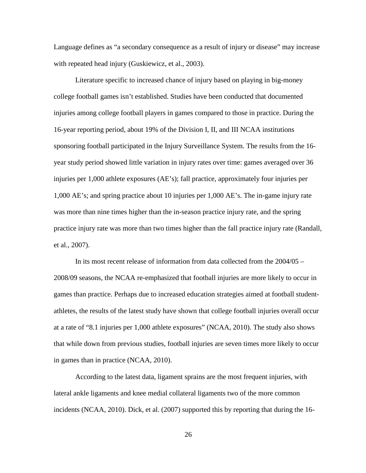Language defines as "a secondary consequence as a result of injury or disease" may increase with repeated head injury (Guskiewicz, et al., 2003).

Literature specific to increased chance of injury based on playing in big-money college football games isn't established. Studies have been conducted that documented injuries among college football players in games compared to those in practice. During the 16-year reporting period, about 19% of the Division I, II, and III NCAA institutions sponsoring football participated in the Injury Surveillance System. The results from the 16 year study period showed little variation in injury rates over time: games averaged over 36 injuries per 1,000 athlete exposures (AE's); fall practice, approximately four injuries per 1,000 AE's; and spring practice about 10 injuries per 1,000 AE's. The in-game injury rate was more than nine times higher than the in-season practice injury rate, and the spring practice injury rate was more than two times higher than the fall practice injury rate (Randall, et al., 2007).

In its most recent release of information from data collected from the 2004/05 – 2008/09 seasons, the NCAA re-emphasized that football injuries are more likely to occur in games than practice. Perhaps due to increased education strategies aimed at football studentathletes, the results of the latest study have shown that college football injuries overall occur at a rate of "8.1 injuries per 1,000 athlete exposures" (NCAA, 2010). The study also shows that while down from previous studies, football injuries are seven times more likely to occur in games than in practice (NCAA, 2010).

According to the latest data, ligament sprains are the most frequent injuries, with lateral ankle ligaments and knee medial collateral ligaments two of the more common incidents (NCAA, 2010). Dick, et al. (2007) supported this by reporting that during the 16-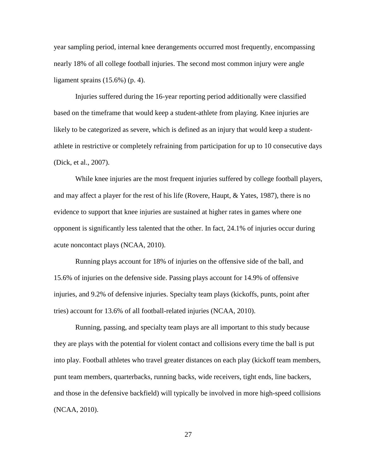year sampling period, internal knee derangements occurred most frequently, encompassing nearly 18% of all college football injuries. The second most common injury were angle ligament sprains (15.6%) (p. 4).

Injuries suffered during the 16-year reporting period additionally were classified based on the timeframe that would keep a student-athlete from playing. Knee injuries are likely to be categorized as severe, which is defined as an injury that would keep a studentathlete in restrictive or completely refraining from participation for up to 10 consecutive days (Dick, et al., 2007).

While knee injuries are the most frequent injuries suffered by college football players, and may affect a player for the rest of his life (Rovere, Haupt, & Yates, 1987), there is no evidence to support that knee injuries are sustained at higher rates in games where one opponent is significantly less talented that the other. In fact, 24.1% of injuries occur during acute noncontact plays (NCAA, 2010).

Running plays account for 18% of injuries on the offensive side of the ball, and 15.6% of injuries on the defensive side. Passing plays account for 14.9% of offensive injuries, and 9.2% of defensive injuries. Specialty team plays (kickoffs, punts, point after tries) account for 13.6% of all football-related injuries (NCAA, 2010).

Running, passing, and specialty team plays are all important to this study because they are plays with the potential for violent contact and collisions every time the ball is put into play. Football athletes who travel greater distances on each play (kickoff team members, punt team members, quarterbacks, running backs, wide receivers, tight ends, line backers, and those in the defensive backfield) will typically be involved in more high-speed collisions (NCAA, 2010).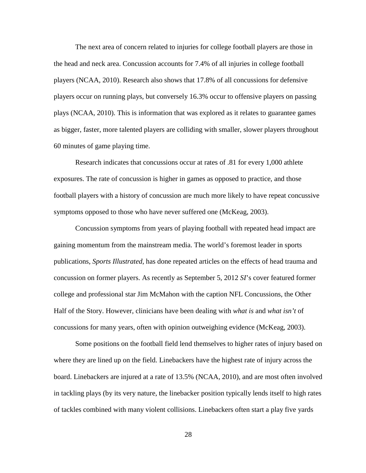The next area of concern related to injuries for college football players are those in the head and neck area. Concussion accounts for 7.4% of all injuries in college football players (NCAA, 2010). Research also shows that 17.8% of all concussions for defensive players occur on running plays, but conversely 16.3% occur to offensive players on passing plays (NCAA, 2010). This is information that was explored as it relates to guarantee games as bigger, faster, more talented players are colliding with smaller, slower players throughout 60 minutes of game playing time.

Research indicates that concussions occur at rates of .81 for every 1,000 athlete exposures. The rate of concussion is higher in games as opposed to practice, and those football players with a history of concussion are much more likely to have repeat concussive symptoms opposed to those who have never suffered one (McKeag, 2003).

Concussion symptoms from years of playing football with repeated head impact are gaining momentum from the mainstream media. The world's foremost leader in sports publications, *Sports Illustrated*, has done repeated articles on the effects of head trauma and concussion on former players. As recently as September 5, 2012 *SI*'s cover featured former college and professional star Jim McMahon with the caption NFL Concussions, the Other Half of the Story. However, clinicians have been dealing with *what is* and *what isn't* of concussions for many years, often with opinion outweighing evidence (McKeag, 2003).

Some positions on the football field lend themselves to higher rates of injury based on where they are lined up on the field. Linebackers have the highest rate of injury across the board. Linebackers are injured at a rate of 13.5% (NCAA, 2010), and are most often involved in tackling plays (by its very nature, the linebacker position typically lends itself to high rates of tackles combined with many violent collisions. Linebackers often start a play five yards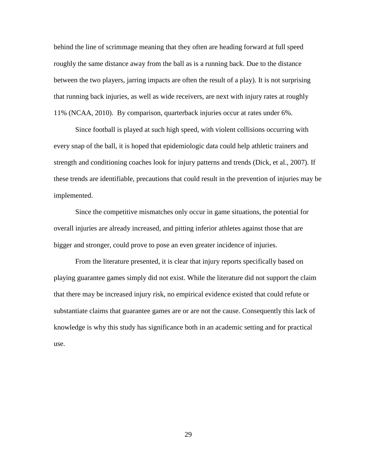behind the line of scrimmage meaning that they often are heading forward at full speed roughly the same distance away from the ball as is a running back. Due to the distance between the two players, jarring impacts are often the result of a play). It is not surprising that running back injuries, as well as wide receivers, are next with injury rates at roughly 11% (NCAA, 2010). By comparison, quarterback injuries occur at rates under 6%.

Since football is played at such high speed, with violent collisions occurring with every snap of the ball, it is hoped that epidemiologic data could help athletic trainers and strength and conditioning coaches look for injury patterns and trends (Dick, et al., 2007). If these trends are identifiable, precautions that could result in the prevention of injuries may be implemented.

Since the competitive mismatches only occur in game situations, the potential for overall injuries are already increased, and pitting inferior athletes against those that are bigger and stronger, could prove to pose an even greater incidence of injuries.

From the literature presented, it is clear that injury reports specifically based on playing guarantee games simply did not exist. While the literature did not support the claim that there may be increased injury risk, no empirical evidence existed that could refute or substantiate claims that guarantee games are or are not the cause. Consequently this lack of knowledge is why this study has significance both in an academic setting and for practical use.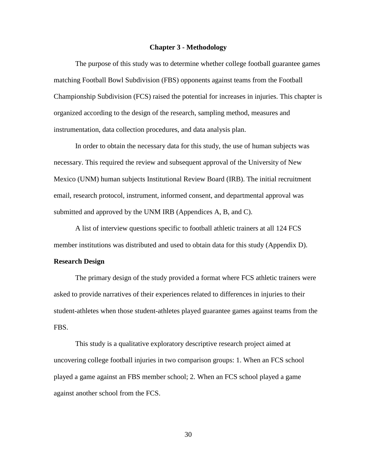#### **Chapter 3 - Methodology**

The purpose of this study was to determine whether college football guarantee games matching Football Bowl Subdivision (FBS) opponents against teams from the Football Championship Subdivision (FCS) raised the potential for increases in injuries. This chapter is organized according to the design of the research, sampling method, measures and instrumentation, data collection procedures, and data analysis plan.

In order to obtain the necessary data for this study, the use of human subjects was necessary. This required the review and subsequent approval of the University of New Mexico (UNM) human subjects Institutional Review Board (IRB). The initial recruitment email, research protocol, instrument, informed consent, and departmental approval was submitted and approved by the UNM IRB (Appendices A, B, and C).

A list of interview questions specific to football athletic trainers at all 124 FCS member institutions was distributed and used to obtain data for this study (Appendix D).

#### **Research Design**

The primary design of the study provided a format where FCS athletic trainers were asked to provide narratives of their experiences related to differences in injuries to their student-athletes when those student-athletes played guarantee games against teams from the FBS.

This study is a qualitative exploratory descriptive research project aimed at uncovering college football injuries in two comparison groups: 1. When an FCS school played a game against an FBS member school; 2. When an FCS school played a game against another school from the FCS.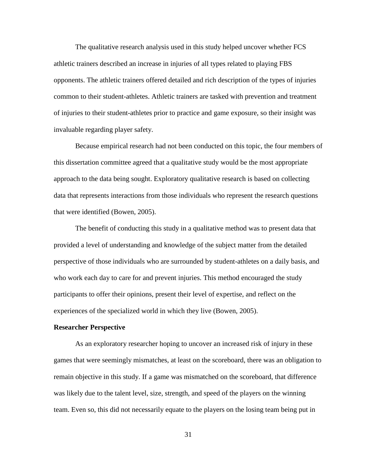The qualitative research analysis used in this study helped uncover whether FCS athletic trainers described an increase in injuries of all types related to playing FBS opponents. The athletic trainers offered detailed and rich description of the types of injuries common to their student-athletes. Athletic trainers are tasked with prevention and treatment of injuries to their student-athletes prior to practice and game exposure, so their insight was invaluable regarding player safety.

Because empirical research had not been conducted on this topic, the four members of this dissertation committee agreed that a qualitative study would be the most appropriate approach to the data being sought. Exploratory qualitative research is based on collecting data that represents interactions from those individuals who represent the research questions that were identified (Bowen, 2005).

The benefit of conducting this study in a qualitative method was to present data that provided a level of understanding and knowledge of the subject matter from the detailed perspective of those individuals who are surrounded by student-athletes on a daily basis, and who work each day to care for and prevent injuries. This method encouraged the study participants to offer their opinions, present their level of expertise, and reflect on the experiences of the specialized world in which they live (Bowen, 2005).

## **Researcher Perspective**

As an exploratory researcher hoping to uncover an increased risk of injury in these games that were seemingly mismatches, at least on the scoreboard, there was an obligation to remain objective in this study. If a game was mismatched on the scoreboard, that difference was likely due to the talent level, size, strength, and speed of the players on the winning team. Even so, this did not necessarily equate to the players on the losing team being put in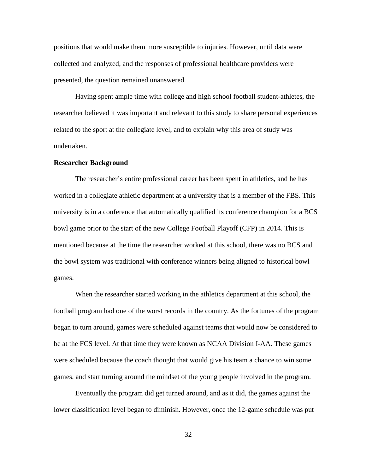positions that would make them more susceptible to injuries. However, until data were collected and analyzed, and the responses of professional healthcare providers were presented, the question remained unanswered.

Having spent ample time with college and high school football student-athletes, the researcher believed it was important and relevant to this study to share personal experiences related to the sport at the collegiate level, and to explain why this area of study was undertaken.

#### **Researcher Background**

The researcher's entire professional career has been spent in athletics, and he has worked in a collegiate athletic department at a university that is a member of the FBS. This university is in a conference that automatically qualified its conference champion for a BCS bowl game prior to the start of the new College Football Playoff (CFP) in 2014. This is mentioned because at the time the researcher worked at this school, there was no BCS and the bowl system was traditional with conference winners being aligned to historical bowl games.

When the researcher started working in the athletics department at this school, the football program had one of the worst records in the country. As the fortunes of the program began to turn around, games were scheduled against teams that would now be considered to be at the FCS level. At that time they were known as NCAA Division I-AA. These games were scheduled because the coach thought that would give his team a chance to win some games, and start turning around the mindset of the young people involved in the program.

Eventually the program did get turned around, and as it did, the games against the lower classification level began to diminish. However, once the 12-game schedule was put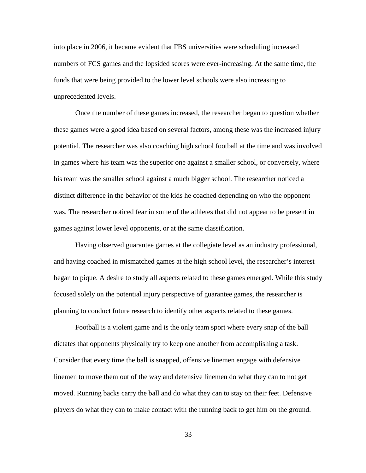into place in 2006, it became evident that FBS universities were scheduling increased numbers of FCS games and the lopsided scores were ever-increasing. At the same time, the funds that were being provided to the lower level schools were also increasing to unprecedented levels.

Once the number of these games increased, the researcher began to question whether these games were a good idea based on several factors, among these was the increased injury potential. The researcher was also coaching high school football at the time and was involved in games where his team was the superior one against a smaller school, or conversely, where his team was the smaller school against a much bigger school. The researcher noticed a distinct difference in the behavior of the kids he coached depending on who the opponent was. The researcher noticed fear in some of the athletes that did not appear to be present in games against lower level opponents, or at the same classification.

Having observed guarantee games at the collegiate level as an industry professional, and having coached in mismatched games at the high school level, the researcher's interest began to pique. A desire to study all aspects related to these games emerged. While this study focused solely on the potential injury perspective of guarantee games, the researcher is planning to conduct future research to identify other aspects related to these games.

Football is a violent game and is the only team sport where every snap of the ball dictates that opponents physically try to keep one another from accomplishing a task. Consider that every time the ball is snapped, offensive linemen engage with defensive linemen to move them out of the way and defensive linemen do what they can to not get moved. Running backs carry the ball and do what they can to stay on their feet. Defensive players do what they can to make contact with the running back to get him on the ground.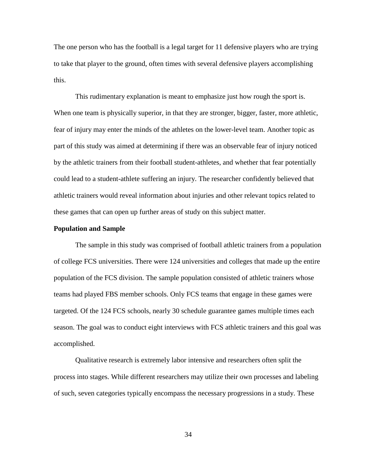The one person who has the football is a legal target for 11 defensive players who are trying to take that player to the ground, often times with several defensive players accomplishing this.

This rudimentary explanation is meant to emphasize just how rough the sport is. When one team is physically superior, in that they are stronger, bigger, faster, more athletic, fear of injury may enter the minds of the athletes on the lower-level team. Another topic as part of this study was aimed at determining if there was an observable fear of injury noticed by the athletic trainers from their football student-athletes, and whether that fear potentially could lead to a student-athlete suffering an injury. The researcher confidently believed that athletic trainers would reveal information about injuries and other relevant topics related to these games that can open up further areas of study on this subject matter.

## **Population and Sample**

The sample in this study was comprised of football athletic trainers from a population of college FCS universities. There were 124 universities and colleges that made up the entire population of the FCS division. The sample population consisted of athletic trainers whose teams had played FBS member schools. Only FCS teams that engage in these games were targeted. Of the 124 FCS schools, nearly 30 schedule guarantee games multiple times each season. The goal was to conduct eight interviews with FCS athletic trainers and this goal was accomplished.

Qualitative research is extremely labor intensive and researchers often split the process into stages. While different researchers may utilize their own processes and labeling of such, seven categories typically encompass the necessary progressions in a study. These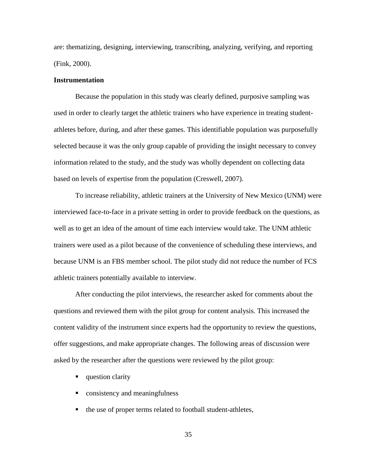are: thematizing, designing, interviewing, transcribing, analyzing, verifying, and reporting (Fink, 2000).

## **Instrumentation**

Because the population in this study was clearly defined, purposive sampling was used in order to clearly target the athletic trainers who have experience in treating studentathletes before, during, and after these games. This identifiable population was purposefully selected because it was the only group capable of providing the insight necessary to convey information related to the study, and the study was wholly dependent on collecting data based on levels of expertise from the population (Creswell, 2007).

To increase reliability, athletic trainers at the University of New Mexico (UNM) were interviewed face-to-face in a private setting in order to provide feedback on the questions, as well as to get an idea of the amount of time each interview would take. The UNM athletic trainers were used as a pilot because of the convenience of scheduling these interviews, and because UNM is an FBS member school. The pilot study did not reduce the number of FCS athletic trainers potentially available to interview.

After conducting the pilot interviews, the researcher asked for comments about the questions and reviewed them with the pilot group for content analysis. This increased the content validity of the instrument since experts had the opportunity to review the questions, offer suggestions, and make appropriate changes. The following areas of discussion were asked by the researcher after the questions were reviewed by the pilot group:

- question clarity
- **•** consistency and meaningfulness
- the use of proper terms related to football student-athletes,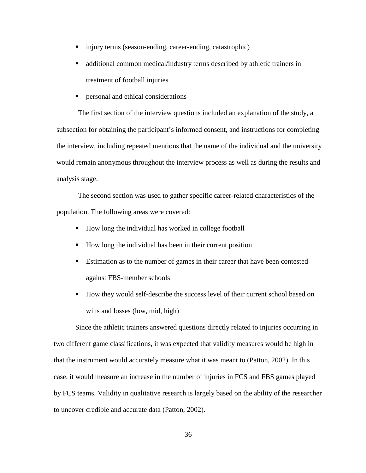- injury terms (season-ending, career-ending, catastrophic)
- additional common medical/industry terms described by athletic trainers in treatment of football injuries
- personal and ethical considerations

The first section of the interview questions included an explanation of the study, a subsection for obtaining the participant's informed consent, and instructions for completing the interview, including repeated mentions that the name of the individual and the university would remain anonymous throughout the interview process as well as during the results and analysis stage.

The second section was used to gather specific career-related characteristics of the population. The following areas were covered:

- How long the individual has worked in college football
- How long the individual has been in their current position
- Estimation as to the number of games in their career that have been contested against FBS-member schools
- How they would self-describe the success level of their current school based on wins and losses (low, mid, high)

Since the athletic trainers answered questions directly related to injuries occurring in two different game classifications, it was expected that validity measures would be high in that the instrument would accurately measure what it was meant to (Patton, 2002). In this case, it would measure an increase in the number of injuries in FCS and FBS games played by FCS teams. Validity in qualitative research is largely based on the ability of the researcher to uncover credible and accurate data (Patton, 2002).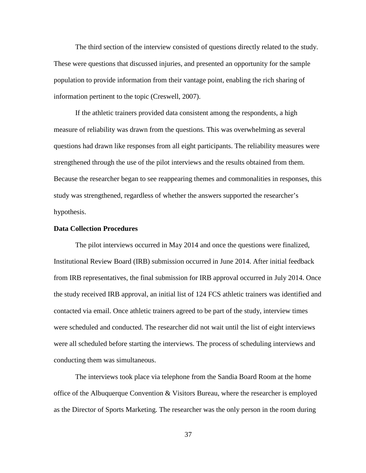The third section of the interview consisted of questions directly related to the study. These were questions that discussed injuries, and presented an opportunity for the sample population to provide information from their vantage point, enabling the rich sharing of information pertinent to the topic (Creswell, 2007).

If the athletic trainers provided data consistent among the respondents, a high measure of reliability was drawn from the questions. This was overwhelming as several questions had drawn like responses from all eight participants. The reliability measures were strengthened through the use of the pilot interviews and the results obtained from them. Because the researcher began to see reappearing themes and commonalities in responses, this study was strengthened, regardless of whether the answers supported the researcher's hypothesis.

## **Data Collection Procedures**

The pilot interviews occurred in May 2014 and once the questions were finalized, Institutional Review Board (IRB) submission occurred in June 2014. After initial feedback from IRB representatives, the final submission for IRB approval occurred in July 2014. Once the study received IRB approval, an initial list of 124 FCS athletic trainers was identified and contacted via email. Once athletic trainers agreed to be part of the study, interview times were scheduled and conducted. The researcher did not wait until the list of eight interviews were all scheduled before starting the interviews. The process of scheduling interviews and conducting them was simultaneous.

The interviews took place via telephone from the Sandia Board Room at the home office of the Albuquerque Convention & Visitors Bureau, where the researcher is employed as the Director of Sports Marketing. The researcher was the only person in the room during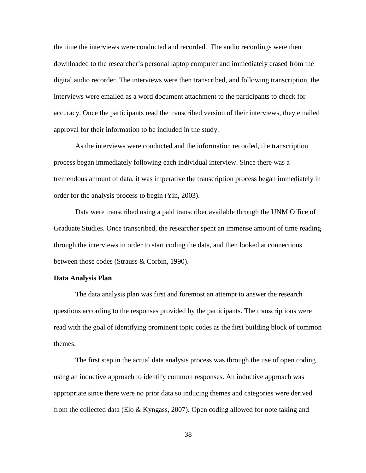the time the interviews were conducted and recorded. The audio recordings were then downloaded to the researcher's personal laptop computer and immediately erased from the digital audio recorder. The interviews were then transcribed, and following transcription, the interviews were emailed as a word document attachment to the participants to check for accuracy. Once the participants read the transcribed version of their interviews, they emailed approval for their information to be included in the study.

As the interviews were conducted and the information recorded, the transcription process began immediately following each individual interview. Since there was a tremendous amount of data, it was imperative the transcription process began immediately in order for the analysis process to begin (Yin, 2003).

Data were transcribed using a paid transcriber available through the UNM Office of Graduate Studies. Once transcribed, the researcher spent an immense amount of time reading through the interviews in order to start coding the data, and then looked at connections between those codes (Strauss & Corbin, 1990).

## **Data Analysis Plan**

The data analysis plan was first and foremost an attempt to answer the research questions according to the responses provided by the participants. The transcriptions were read with the goal of identifying prominent topic codes as the first building block of common themes.

The first step in the actual data analysis process was through the use of open coding using an inductive approach to identify common responses. An inductive approach was appropriate since there were no prior data so inducing themes and categories were derived from the collected data (Elo & Kyngass, 2007). Open coding allowed for note taking and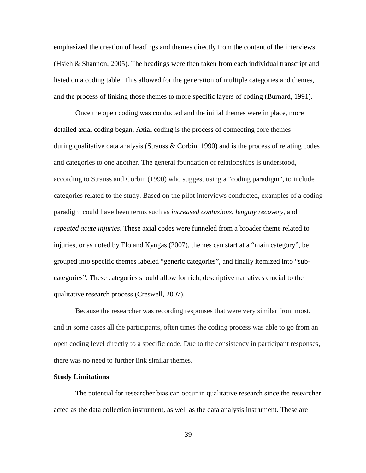emphasized the creation of headings and themes directly from the content of the interviews (Hsieh & Shannon, 2005). The headings were then taken from each individual transcript and listed on a coding table. This allowed for the generation of multiple categories and themes, and the process of linking those themes to more specific layers of coding (Burnard, 1991).

Once the open coding was conducted and the initial themes were in place, more detailed axial coding began. Axial coding is the process of connecting core themes during [qualitative data analysis](http://en.wikipedia.org/wiki/Qualitative_data_analysis) (Strauss & Corbin, 1990) and is the process of relating codes and categories to one another. The general foundation of relationships is understood, according to Strauss and Corbin (1990) who suggest using a "coding [paradigm"](http://en.wikipedia.org/wiki/Paradigm), to include categories related to the study. Based on the pilot interviews conducted, examples of a coding paradigm could have been terms such as *increased contusions*, *lengthy recovery*, and *repeated acute injuries*. These axial codes were funneled from a broader theme related to injuries, or as noted by Elo and Kyngas (2007), themes can start at a "main category", be grouped into specific themes labeled "generic categories", and finally itemized into "subcategories". These categories should allow for rich, descriptive narratives crucial to the qualitative research process (Creswell, 2007).

Because the researcher was recording responses that were very similar from most, and in some cases all the participants, often times the coding process was able to go from an open coding level directly to a specific code. Due to the consistency in participant responses, there was no need to further link similar themes.

#### **Study Limitations**

The potential for researcher bias can occur in qualitative research since the researcher acted as the data collection instrument, as well as the data analysis instrument. These are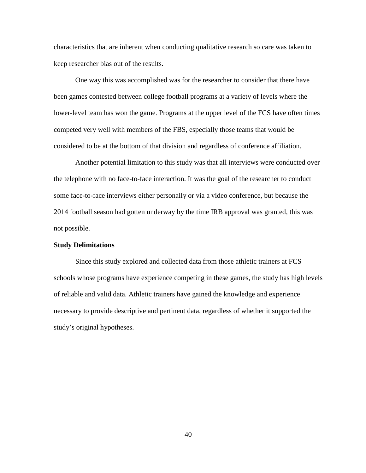characteristics that are inherent when conducting qualitative research so care was taken to keep researcher bias out of the results.

One way this was accomplished was for the researcher to consider that there have been games contested between college football programs at a variety of levels where the lower-level team has won the game. Programs at the upper level of the FCS have often times competed very well with members of the FBS, especially those teams that would be considered to be at the bottom of that division and regardless of conference affiliation.

Another potential limitation to this study was that all interviews were conducted over the telephone with no face-to-face interaction. It was the goal of the researcher to conduct some face-to-face interviews either personally or via a video conference, but because the 2014 football season had gotten underway by the time IRB approval was granted, this was not possible.

## **Study Delimitations**

Since this study explored and collected data from those athletic trainers at FCS schools whose programs have experience competing in these games, the study has high levels of reliable and valid data. Athletic trainers have gained the knowledge and experience necessary to provide descriptive and pertinent data, regardless of whether it supported the study's original hypotheses.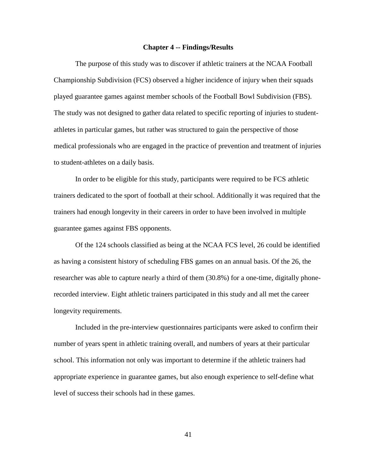#### **Chapter 4 -- Findings/Results**

The purpose of this study was to discover if athletic trainers at the NCAA Football Championship Subdivision (FCS) observed a higher incidence of injury when their squads played guarantee games against member schools of the Football Bowl Subdivision (FBS). The study was not designed to gather data related to specific reporting of injuries to studentathletes in particular games, but rather was structured to gain the perspective of those medical professionals who are engaged in the practice of prevention and treatment of injuries to student-athletes on a daily basis.

In order to be eligible for this study, participants were required to be FCS athletic trainers dedicated to the sport of football at their school. Additionally it was required that the trainers had enough longevity in their careers in order to have been involved in multiple guarantee games against FBS opponents.

Of the 124 schools classified as being at the NCAA FCS level, 26 could be identified as having a consistent history of scheduling FBS games on an annual basis. Of the 26, the researcher was able to capture nearly a third of them (30.8%) for a one-time, digitally phonerecorded interview. Eight athletic trainers participated in this study and all met the career longevity requirements.

Included in the pre-interview questionnaires participants were asked to confirm their number of years spent in athletic training overall, and numbers of years at their particular school. This information not only was important to determine if the athletic trainers had appropriate experience in guarantee games, but also enough experience to self-define what level of success their schools had in these games.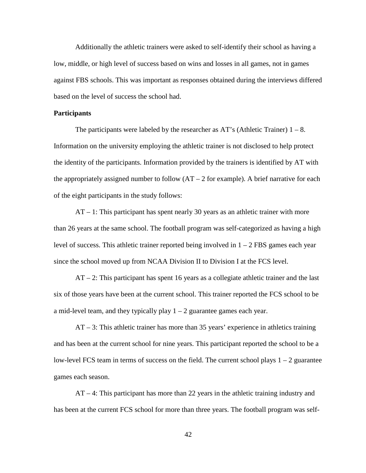Additionally the athletic trainers were asked to self-identify their school as having a low, middle, or high level of success based on wins and losses in all games, not in games against FBS schools. This was important as responses obtained during the interviews differed based on the level of success the school had.

#### **Participants**

The participants were labeled by the researcher as AT's (Athletic Trainer)  $1 - 8$ . Information on the university employing the athletic trainer is not disclosed to help protect the identity of the participants. Information provided by the trainers is identified by AT with the appropriately assigned number to follow  $(AT - 2$  for example). A brief narrative for each of the eight participants in the study follows:

AT – 1: This participant has spent nearly 30 years as an athletic trainer with more than 26 years at the same school. The football program was self-categorized as having a high level of success. This athletic trainer reported being involved in  $1 - 2$  FBS games each year since the school moved up from NCAA Division II to Division I at the FCS level.

AT – 2: This participant has spent 16 years as a collegiate athletic trainer and the last six of those years have been at the current school. This trainer reported the FCS school to be a mid-level team, and they typically play  $1 - 2$  guarantee games each year.

AT – 3: This athletic trainer has more than 35 years' experience in athletics training and has been at the current school for nine years. This participant reported the school to be a low-level FCS team in terms of success on the field. The current school plays  $1 - 2$  guarantee games each season.

AT – 4: This participant has more than 22 years in the athletic training industry and has been at the current FCS school for more than three years. The football program was self-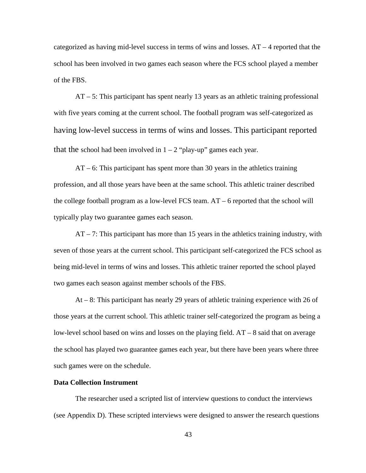categorized as having mid-level success in terms of wins and losses.  $AT - 4$  reported that the school has been involved in two games each season where the FCS school played a member of the FBS.

AT – 5: This participant has spent nearly 13 years as an athletic training professional with five years coming at the current school. The football program was self-categorized as having low-level success in terms of wins and losses. This participant reported that the school had been involved in  $1 - 2$  "play-up" games each year.

AT – 6: This participant has spent more than 30 years in the athletics training profession, and all those years have been at the same school. This athletic trainer described the college football program as a low-level FCS team.  $AT - 6$  reported that the school will typically play two guarantee games each season.

 $AT - 7$ : This participant has more than 15 years in the athletics training industry, with seven of those years at the current school. This participant self-categorized the FCS school as being mid-level in terms of wins and losses. This athletic trainer reported the school played two games each season against member schools of the FBS.

At – 8: This participant has nearly 29 years of athletic training experience with 26 of those years at the current school. This athletic trainer self-categorized the program as being a low-level school based on wins and losses on the playing field. AT – 8 said that on average the school has played two guarantee games each year, but there have been years where three such games were on the schedule.

## **Data Collection Instrument**

The researcher used a scripted list of interview questions to conduct the interviews (see Appendix D). These scripted interviews were designed to answer the research questions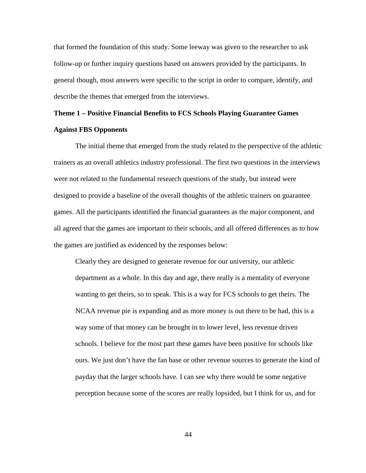that formed the foundation of this study. Some leeway was given to the researcher to ask follow-up or further inquiry questions based on answers provided by the participants. In general though, most answers were specific to the script in order to compare, identify, and describe the themes that emerged from the interviews.

# **Theme 1 – Positive Financial Benefits to FCS Schools Playing Guarantee Games Against FBS Opponents**

The initial theme that emerged from the study related to the perspective of the athletic trainers as an overall athletics industry professional. The first two questions in the interviews were not related to the fundamental research questions of the study, but instead were designed to provide a baseline of the overall thoughts of the athletic trainers on guarantee games. All the participants identified the financial guarantees as the major component, and all agreed that the games are important to their schools, and all offered differences as to how the games are justified as evidenced by the responses below:

Clearly they are designed to generate revenue for our university, our athletic department as a whole. In this day and age, there really is a mentality of everyone wanting to get theirs, so to speak. This is a way for FCS schools to get theirs. The NCAA revenue pie is expanding and as more money is out there to be had, this is a way some of that money can be brought in to lower level, less revenue driven schools. I believe for the most part these games have been positive for schools like ours. We just don't have the fan base or other revenue sources to generate the kind of payday that the larger schools have. I can see why there would be some negative perception because some of the scores are really lopsided, but I think for us, and for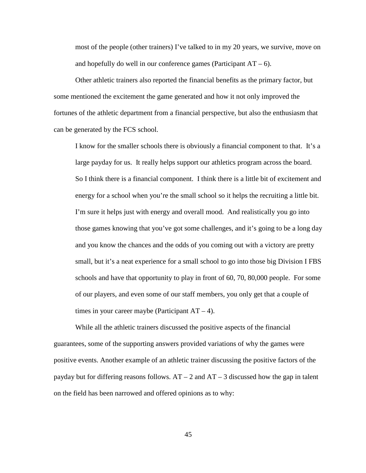most of the people (other trainers) I've talked to in my 20 years, we survive, move on and hopefully do well in our conference games (Participant  $AT - 6$ ).

Other athletic trainers also reported the financial benefits as the primary factor, but some mentioned the excitement the game generated and how it not only improved the fortunes of the athletic department from a financial perspective, but also the enthusiasm that can be generated by the FCS school.

I know for the smaller schools there is obviously a financial component to that. It's a large payday for us. It really helps support our athletics program across the board. So I think there is a financial component. I think there is a little bit of excitement and energy for a school when you're the small school so it helps the recruiting a little bit. I'm sure it helps just with energy and overall mood. And realistically you go into those games knowing that you've got some challenges, and it's going to be a long day and you know the chances and the odds of you coming out with a victory are pretty small, but it's a neat experience for a small school to go into those big Division I FBS schools and have that opportunity to play in front of 60, 70, 80,000 people. For some of our players, and even some of our staff members, you only get that a couple of times in your career maybe (Participant  $AT - 4$ ).

While all the athletic trainers discussed the positive aspects of the financial guarantees, some of the supporting answers provided variations of why the games were positive events. Another example of an athletic trainer discussing the positive factors of the payday but for differing reasons follows.  $AT - 2$  and  $AT - 3$  discussed how the gap in talent on the field has been narrowed and offered opinions as to why: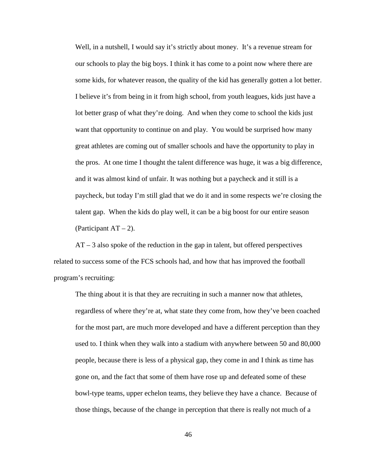Well, in a nutshell, I would say it's strictly about money. It's a revenue stream for our schools to play the big boys. I think it has come to a point now where there are some kids, for whatever reason, the quality of the kid has generally gotten a lot better. I believe it's from being in it from high school, from youth leagues, kids just have a lot better grasp of what they're doing. And when they come to school the kids just want that opportunity to continue on and play. You would be surprised how many great athletes are coming out of smaller schools and have the opportunity to play in the pros. At one time I thought the talent difference was huge, it was a big difference, and it was almost kind of unfair. It was nothing but a paycheck and it still is a paycheck, but today I'm still glad that we do it and in some respects we're closing the talent gap.When the kids do play well, it can be a big boost for our entire season (Participant  $AT - 2$ ).

AT – 3 also spoke of the reduction in the gap in talent, but offered perspectives related to success some of the FCS schools had, and how that has improved the football program's recruiting:

The thing about it is that they are recruiting in such a manner now that athletes, regardless of where they're at, what state they come from, how they've been coached for the most part, are much more developed and have a different perception than they used to. I think when they walk into a stadium with anywhere between 50 and 80,000 people, because there is less of a physical gap, they come in and I think as time has gone on, and the fact that some of them have rose up and defeated some of these bowl-type teams, upper echelon teams, they believe they have a chance. Because of those things, because of the change in perception that there is really not much of a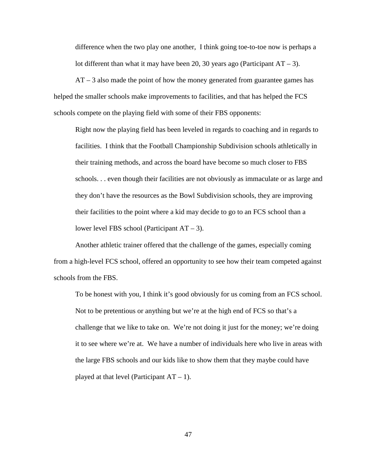difference when the two play one another, I think going toe-to-toe now is perhaps a lot different than what it may have been 20, 30 years ago (Participant  $AT - 3$ ).

 $AT - 3$  also made the point of how the money generated from guarantee games has helped the smaller schools make improvements to facilities, and that has helped the FCS schools compete on the playing field with some of their FBS opponents:

Right now the playing field has been leveled in regards to coaching and in regards to facilities. I think that the Football Championship Subdivision schools athletically in their training methods, and across the board have become so much closer to FBS schools. . . even though their facilities are not obviously as immaculate or as large and they don't have the resources as the Bowl Subdivision schools, they are improving their facilities to the point where a kid may decide to go to an FCS school than a lower level FBS school (Participant AT – 3).

Another athletic trainer offered that the challenge of the games, especially coming from a high-level FCS school, offered an opportunity to see how their team competed against schools from the FBS.

To be honest with you, I think it's good obviously for us coming from an FCS school. Not to be pretentious or anything but we're at the high end of FCS so that's a challenge that we like to take on. We're not doing it just for the money; we're doing it to see where we're at. We have a number of individuals here who live in areas with the large FBS schools and our kids like to show them that they maybe could have played at that level (Participant  $AT - 1$ ).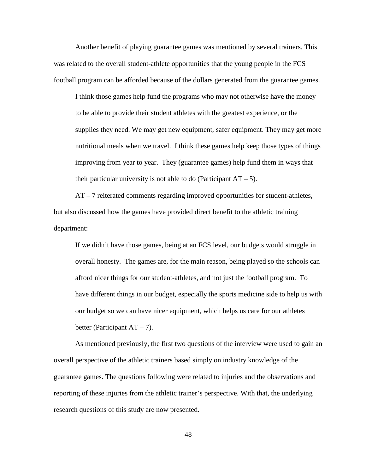Another benefit of playing guarantee games was mentioned by several trainers. This was related to the overall student-athlete opportunities that the young people in the FCS football program can be afforded because of the dollars generated from the guarantee games.

I think those games help fund the programs who may not otherwise have the money to be able to provide their student athletes with the greatest experience, or the supplies they need. We may get new equipment, safer equipment. They may get more nutritional meals when we travel. I think these games help keep those types of things improving from year to year. They (guarantee games) help fund them in ways that their particular university is not able to do (Participant  $AT - 5$ ).

AT – 7 reiterated comments regarding improved opportunities for student-athletes, but also discussed how the games have provided direct benefit to the athletic training department:

If we didn't have those games, being at an FCS level, our budgets would struggle in overall honesty. The games are, for the main reason, being played so the schools can afford nicer things for our student-athletes, and not just the football program. To have different things in our budget, especially the sports medicine side to help us with our budget so we can have nicer equipment, which helps us care for our athletes better (Participant  $AT - 7$ ).

As mentioned previously, the first two questions of the interview were used to gain an overall perspective of the athletic trainers based simply on industry knowledge of the guarantee games. The questions following were related to injuries and the observations and reporting of these injuries from the athletic trainer's perspective. With that, the underlying research questions of this study are now presented.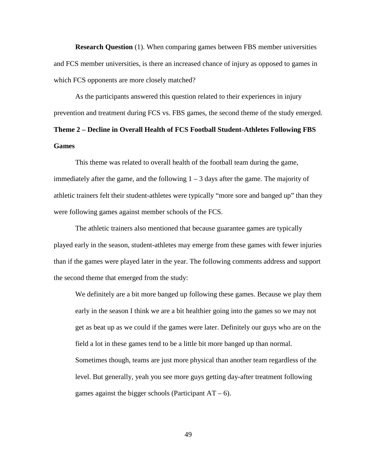**Research Question** (1). When comparing games between FBS member universities and FCS member universities, is there an increased chance of injury as opposed to games in which FCS opponents are more closely matched?

As the participants answered this question related to their experiences in injury prevention and treatment during FCS vs. FBS games, the second theme of the study emerged. **Theme 2 – Decline in Overall Health of FCS Football Student-Athletes Following FBS Games**

This theme was related to overall health of the football team during the game, immediately after the game, and the following  $1 - 3$  days after the game. The majority of athletic trainers felt their student-athletes were typically "more sore and banged up" than they were following games against member schools of the FCS.

The athletic trainers also mentioned that because guarantee games are typically played early in the season, student-athletes may emerge from these games with fewer injuries than if the games were played later in the year. The following comments address and support the second theme that emerged from the study:

We definitely are a bit more banged up following these games. Because we play them early in the season I think we are a bit healthier going into the games so we may not get as beat up as we could if the games were later. Definitely our guys who are on the field a lot in these games tend to be a little bit more banged up than normal. Sometimes though, teams are just more physical than another team regardless of the level. But generally, yeah you see more guys getting day-after treatment following games against the bigger schools (Participant  $AT - 6$ ).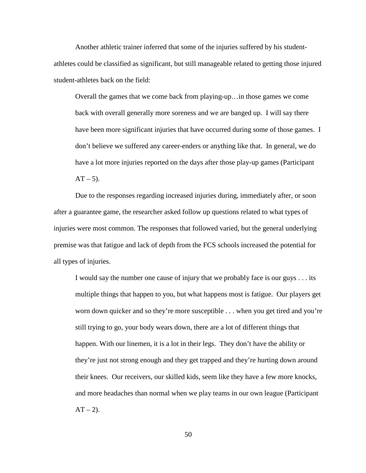Another athletic trainer inferred that some of the injuries suffered by his studentathletes could be classified as significant, but still manageable related to getting those injured student-athletes back on the field:

Overall the games that we come back from playing-up…in those games we come back with overall generally more soreness and we are banged up. I will say there have been more significant injuries that have occurred during some of those games. I don't believe we suffered any career-enders or anything like that. In general, we do have a lot more injuries reported on the days after those play-up games (Participant  $AT - 5$ ).

Due to the responses regarding increased injuries during, immediately after, or soon after a guarantee game, the researcher asked follow up questions related to what types of injuries were most common. The responses that followed varied, but the general underlying premise was that fatigue and lack of depth from the FCS schools increased the potential for all types of injuries.

I would say the number one cause of injury that we probably face is our guys . . . its multiple things that happen to you, but what happens most is fatigue. Our players get worn down quicker and so they're more susceptible . . . when you get tired and you're still trying to go, your body wears down, there are a lot of different things that happen. With our linemen, it is a lot in their legs. They don't have the ability or they're just not strong enough and they get trapped and they're hurting down around their knees. Our receivers, our skilled kids, seem like they have a few more knocks, and more headaches than normal when we play teams in our own league (Participant  $AT - 2$ ).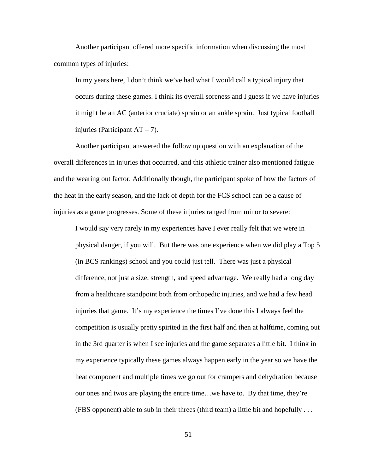Another participant offered more specific information when discussing the most common types of injuries:

In my years here, I don't think we've had what I would call a typical injury that occurs during these games. I think its overall soreness and I guess if we have injuries it might be an AC (anterior cruciate) sprain or an ankle sprain. Just typical football injuries (Participant  $AT - 7$ ).

Another participant answered the follow up question with an explanation of the overall differences in injuries that occurred, and this athletic trainer also mentioned fatigue and the wearing out factor. Additionally though, the participant spoke of how the factors of the heat in the early season, and the lack of depth for the FCS school can be a cause of injuries as a game progresses. Some of these injuries ranged from minor to severe:

I would say very rarely in my experiences have I ever really felt that we were in physical danger, if you will. But there was one experience when we did play a Top 5 (in BCS rankings) school and you could just tell. There was just a physical difference, not just a size, strength, and speed advantage. We really had a long day from a healthcare standpoint both from orthopedic injuries, and we had a few head injuries that game. It's my experience the times I've done this I always feel the competition is usually pretty spirited in the first half and then at halftime, coming out in the 3rd quarter is when I see injuries and the game separates a little bit. I think in my experience typically these games always happen early in the year so we have the heat component and multiple times we go out for crampers and dehydration because our ones and twos are playing the entire time…we have to. By that time, they're (FBS opponent) able to sub in their threes (third team) a little bit and hopefully  $\dots$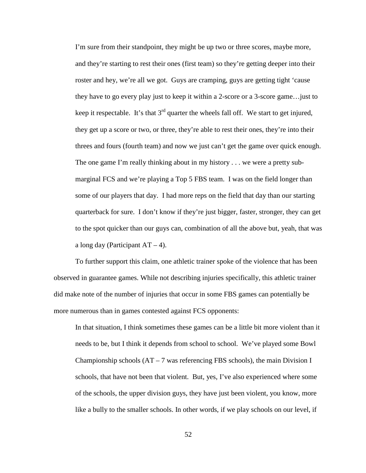I'm sure from their standpoint, they might be up two or three scores, maybe more, and they're starting to rest their ones (first team) so they're getting deeper into their roster and hey, we're all we got. Guys are cramping, guys are getting tight 'cause they have to go every play just to keep it within a 2-score or a 3-score game…just to keep it respectable. It's that  $3<sup>rd</sup>$  quarter the wheels fall off. We start to get injured, they get up a score or two, or three, they're able to rest their ones, they're into their threes and fours (fourth team) and now we just can't get the game over quick enough. The one game I'm really thinking about in my history . . . we were a pretty submarginal FCS and we're playing a Top 5 FBS team. I was on the field longer than some of our players that day. I had more reps on the field that day than our starting quarterback for sure. I don't know if they're just bigger, faster, stronger, they can get to the spot quicker than our guys can, combination of all the above but, yeah, that was a long day (Participant  $AT - 4$ ).

To further support this claim, one athletic trainer spoke of the violence that has been observed in guarantee games. While not describing injuries specifically, this athletic trainer did make note of the number of injuries that occur in some FBS games can potentially be more numerous than in games contested against FCS opponents:

In that situation, I think sometimes these games can be a little bit more violent than it needs to be, but I think it depends from school to school. We've played some Bowl Championship schools  $(AT - 7$  was referencing FBS schools), the main Division I schools, that have not been that violent. But, yes, I've also experienced where some of the schools, the upper division guys, they have just been violent, you know, more like a bully to the smaller schools. In other words, if we play schools on our level, if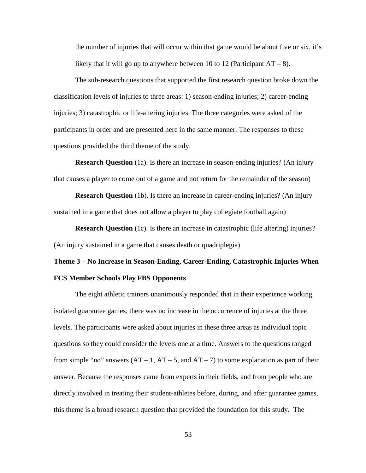the number of injuries that will occur within that game would be about five or six, it's likely that it will go up to anywhere between 10 to 12 (Participant  $AT - 8$ ).

The sub-research questions that supported the first research question broke down the classification levels of injuries to three areas: 1) season-ending injuries; 2) career-ending injuries; 3) catastrophic or life-altering injuries. The three categories were asked of the participants in order and are presented here in the same manner. The responses to these questions provided the third theme of the study.

**Research Question** (1a). Is there an increase in season-ending injuries? (An injury that causes a player to come out of a game and not return for the remainder of the season)

**Research Question** (1b). Is there an increase in career-ending injuries? (An injury sustained in a game that does not allow a player to play collegiate football again)

**Research Question** (1c). Is there an increase in catastrophic (life altering) injuries? (An injury sustained in a game that causes death or quadriplegia)

# **Theme 3 – No Increase in Season-Ending, Career-Ending, Catastrophic Injuries When FCS Member Schools Play FBS Opponents**

The eight athletic trainers unanimously responded that in their experience working isolated guarantee games, there was no increase in the occurrence of injuries at the three levels. The participants were asked about injuries in these three areas as individual topic questions so they could consider the levels one at a time. Answers to the questions ranged from simple "no" answers  $(AT - 1, AT - 5, and AT - 7)$  to some explanation as part of their answer. Because the responses came from experts in their fields, and from people who are directly involved in treating their student-athletes before, during, and after guarantee games, this theme is a broad research question that provided the foundation for this study. The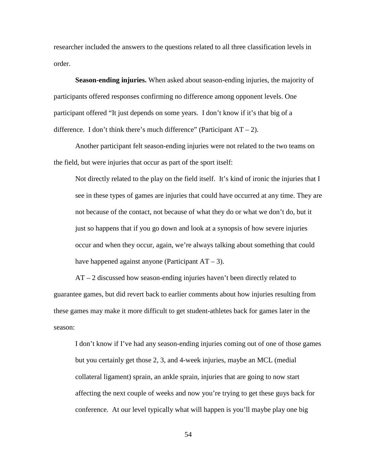researcher included the answers to the questions related to all three classification levels in order.

**Season-ending injuries.** When asked about season-ending injuries, the majority of participants offered responses confirming no difference among opponent levels. One participant offered "It just depends on some years. I don't know if it's that big of a difference. I don't think there's much difference" (Participant  $AT - 2$ ).

Another participant felt season-ending injuries were not related to the two teams on the field, but were injuries that occur as part of the sport itself:

Not directly related to the play on the field itself. It's kind of ironic the injuries that I see in these types of games are injuries that could have occurred at any time. They are not because of the contact, not because of what they do or what we don't do, but it just so happens that if you go down and look at a synopsis of how severe injuries occur and when they occur, again, we're always talking about something that could have happened against anyone (Participant  $AT - 3$ ).

AT – 2 discussed how season-ending injuries haven't been directly related to guarantee games, but did revert back to earlier comments about how injuries resulting from these games may make it more difficult to get student-athletes back for games later in the season:

I don't know if I've had any season-ending injuries coming out of one of those games but you certainly get those 2, 3, and 4-week injuries, maybe an MCL (medial collateral ligament) sprain, an ankle sprain, injuries that are going to now start affecting the next couple of weeks and now you're trying to get these guys back for conference. At our level typically what will happen is you'll maybe play one big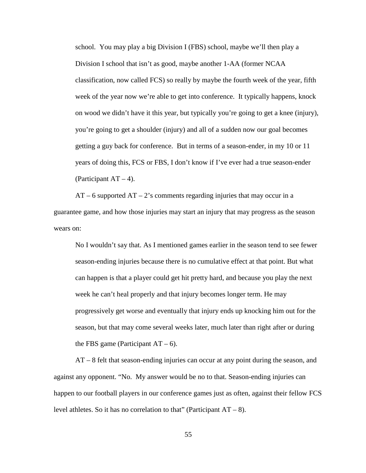school. You may play a big Division I (FBS) school, maybe we'll then play a Division I school that isn't as good, maybe another 1-AA (former NCAA classification, now called FCS) so really by maybe the fourth week of the year, fifth week of the year now we're able to get into conference. It typically happens, knock on wood we didn't have it this year, but typically you're going to get a knee (injury), you're going to get a shoulder (injury) and all of a sudden now our goal becomes getting a guy back for conference. But in terms of a season-ender, in my 10 or 11 years of doing this, FCS or FBS, I don't know if I've ever had a true season-ender (Participant  $AT - 4$ ).

 $AT - 6$  supported  $AT - 2$ 's comments regarding injuries that may occur in a guarantee game, and how those injuries may start an injury that may progress as the season wears on:

No I wouldn't say that. As I mentioned games earlier in the season tend to see fewer season-ending injuries because there is no cumulative effect at that point. But what can happen is that a player could get hit pretty hard, and because you play the next week he can't heal properly and that injury becomes longer term. He may progressively get worse and eventually that injury ends up knocking him out for the season, but that may come several weeks later, much later than right after or during the FBS game (Participant  $AT - 6$ ).

AT – 8 felt that season-ending injuries can occur at any point during the season, and against any opponent. "No. My answer would be no to that. Season-ending injuries can happen to our football players in our conference games just as often, against their fellow FCS level athletes. So it has no correlation to that" (Participant  $AT - 8$ ).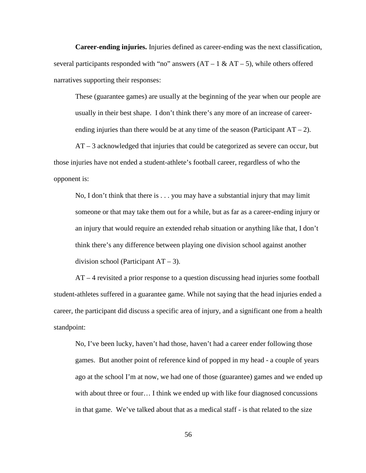**Career-ending injuries.** Injuries defined as career-ending was the next classification, several participants responded with "no" answers  $(AT - 1 & AT - 5)$ , while others offered narratives supporting their responses:

These (guarantee games) are usually at the beginning of the year when our people are usually in their best shape. I don't think there's any more of an increase of careerending injuries than there would be at any time of the season (Participant  $AT - 2$ ).

AT – 3 acknowledged that injuries that could be categorized as severe can occur, but those injuries have not ended a student-athlete's football career, regardless of who the opponent is:

No, I don't think that there is . . . you may have a substantial injury that may limit someone or that may take them out for a while, but as far as a career-ending injury or an injury that would require an extended rehab situation or anything like that, I don't think there's any difference between playing one division school against another division school (Participant  $AT - 3$ ).

AT – 4 revisited a prior response to a question discussing head injuries some football student-athletes suffered in a guarantee game. While not saying that the head injuries ended a career, the participant did discuss a specific area of injury, and a significant one from a health standpoint:

No, I've been lucky, haven't had those, haven't had a career ender following those games. But another point of reference kind of popped in my head - a couple of years ago at the school I'm at now, we had one of those (guarantee) games and we ended up with about three or four… I think we ended up with like four diagnosed concussions in that game. We've talked about that as a medical staff - is that related to the size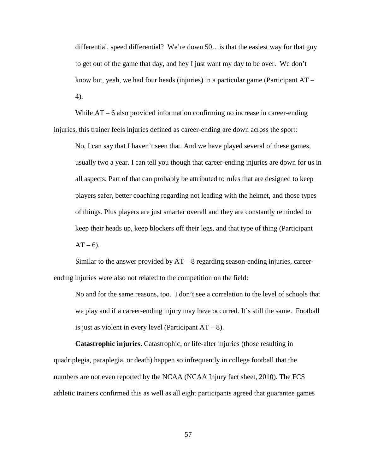differential, speed differential? We're down 50…is that the easiest way for that guy to get out of the game that day, and hey I just want my day to be over. We don't know but, yeah, we had four heads (injuries) in a particular game (Participant AT – 4).

While  $AT - 6$  also provided information confirming no increase in career-ending injuries, this trainer feels injuries defined as career-ending are down across the sport:

No, I can say that I haven't seen that. And we have played several of these games, usually two a year. I can tell you though that career-ending injuries are down for us in all aspects. Part of that can probably be attributed to rules that are designed to keep players safer, better coaching regarding not leading with the helmet, and those types of things. Plus players are just smarter overall and they are constantly reminded to keep their heads up, keep blockers off their legs, and that type of thing (Participant  $AT - 6$ ).

Similar to the answer provided by  $AT - 8$  regarding season-ending injuries, careerending injuries were also not related to the competition on the field:

No and for the same reasons, too. I don't see a correlation to the level of schools that we play and if a career-ending injury may have occurred. It's still the same. Football is just as violent in every level (Participant  $AT - 8$ ).

**Catastrophic injuries.** Catastrophic, or life-alter injuries (those resulting in quadriplegia, paraplegia, or death) happen so infrequently in college football that the numbers are not even reported by the NCAA (NCAA Injury fact sheet, 2010). The FCS athletic trainers confirmed this as well as all eight participants agreed that guarantee games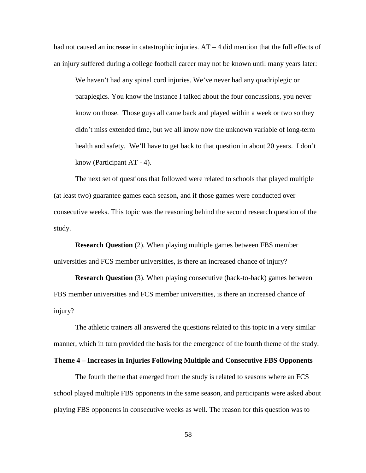had not caused an increase in catastrophic injuries. AT – 4 did mention that the full effects of an injury suffered during a college football career may not be known until many years later:

We haven't had any spinal cord injuries. We've never had any quadriplegic or paraplegics. You know the instance I talked about the four concussions, you never know on those. Those guys all came back and played within a week or two so they didn't miss extended time, but we all know now the unknown variable of long-term health and safety. We'll have to get back to that question in about 20 years. I don't know (Participant AT - 4).

The next set of questions that followed were related to schools that played multiple (at least two) guarantee games each season, and if those games were conducted over consecutive weeks. This topic was the reasoning behind the second research question of the study.

**Research Question** (2). When playing multiple games between FBS member universities and FCS member universities, is there an increased chance of injury?

**Research Question** (3). When playing consecutive (back-to-back) games between FBS member universities and FCS member universities, is there an increased chance of injury?

The athletic trainers all answered the questions related to this topic in a very similar manner, which in turn provided the basis for the emergence of the fourth theme of the study.

#### **Theme 4 – Increases in Injuries Following Multiple and Consecutive FBS Opponents**

The fourth theme that emerged from the study is related to seasons where an FCS school played multiple FBS opponents in the same season, and participants were asked about playing FBS opponents in consecutive weeks as well. The reason for this question was to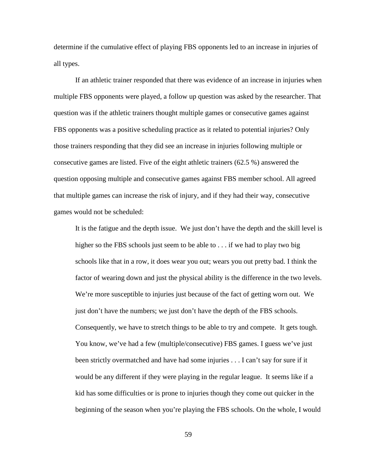determine if the cumulative effect of playing FBS opponents led to an increase in injuries of all types.

If an athletic trainer responded that there was evidence of an increase in injuries when multiple FBS opponents were played, a follow up question was asked by the researcher. That question was if the athletic trainers thought multiple games or consecutive games against FBS opponents was a positive scheduling practice as it related to potential injuries? Only those trainers responding that they did see an increase in injuries following multiple or consecutive games are listed. Five of the eight athletic trainers (62.5 %) answered the question opposing multiple and consecutive games against FBS member school. All agreed that multiple games can increase the risk of injury, and if they had their way, consecutive games would not be scheduled:

It is the fatigue and the depth issue. We just don't have the depth and the skill level is higher so the FBS schools just seem to be able to . . . if we had to play two big schools like that in a row, it does wear you out; wears you out pretty bad. I think the factor of wearing down and just the physical ability is the difference in the two levels. We're more susceptible to injuries just because of the fact of getting worn out. We just don't have the numbers; we just don't have the depth of the FBS schools. Consequently, we have to stretch things to be able to try and compete. It gets tough. You know, we've had a few (multiple/consecutive) FBS games. I guess we've just been strictly overmatched and have had some injuries . . . I can't say for sure if it would be any different if they were playing in the regular league. It seems like if a kid has some difficulties or is prone to injuries though they come out quicker in the beginning of the season when you're playing the FBS schools. On the whole, I would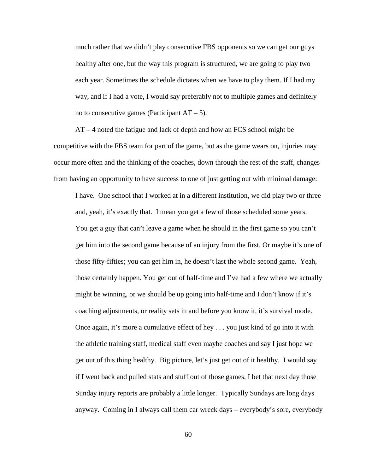much rather that we didn't play consecutive FBS opponents so we can get our guys healthy after one, but the way this program is structured, we are going to play two each year. Sometimes the schedule dictates when we have to play them. If I had my way, and if I had a vote, I would say preferably not to multiple games and definitely no to consecutive games (Participant  $AT - 5$ ).

AT – 4 noted the fatigue and lack of depth and how an FCS school might be competitive with the FBS team for part of the game, but as the game wears on, injuries may occur more often and the thinking of the coaches, down through the rest of the staff, changes from having an opportunity to have success to one of just getting out with minimal damage:

I have. One school that I worked at in a different institution, we did play two or three and, yeah, it's exactly that. I mean you get a few of those scheduled some years. You get a guy that can't leave a game when he should in the first game so you can't get him into the second game because of an injury from the first. Or maybe it's one of those fifty-fifties; you can get him in, he doesn't last the whole second game. Yeah, those certainly happen. You get out of half-time and I've had a few where we actually might be winning, or we should be up going into half-time and I don't know if it's coaching adjustments, or reality sets in and before you know it, it's survival mode. Once again, it's more a cumulative effect of hey . . . you just kind of go into it with the athletic training staff, medical staff even maybe coaches and say I just hope we get out of this thing healthy. Big picture, let's just get out of it healthy. I would say if I went back and pulled stats and stuff out of those games, I bet that next day those Sunday injury reports are probably a little longer. Typically Sundays are long days anyway. Coming in I always call them car wreck days – everybody's sore, everybody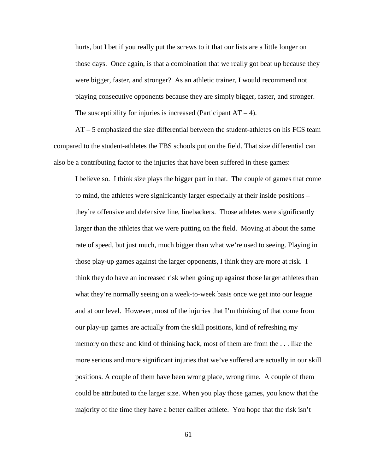hurts, but I bet if you really put the screws to it that our lists are a little longer on those days. Once again, is that a combination that we really got beat up because they were bigger, faster, and stronger? As an athletic trainer, I would recommend not playing consecutive opponents because they are simply bigger, faster, and stronger. The susceptibility for injuries is increased (Participant  $AT - 4$ ).

AT – 5 emphasized the size differential between the student-athletes on his FCS team compared to the student-athletes the FBS schools put on the field. That size differential can also be a contributing factor to the injuries that have been suffered in these games:

I believe so. I think size plays the bigger part in that. The couple of games that come to mind, the athletes were significantly larger especially at their inside positions – they're offensive and defensive line, linebackers. Those athletes were significantly larger than the athletes that we were putting on the field. Moving at about the same rate of speed, but just much, much bigger than what we're used to seeing. Playing in those play-up games against the larger opponents, I think they are more at risk. I think they do have an increased risk when going up against those larger athletes than what they're normally seeing on a week-to-week basis once we get into our league and at our level. However, most of the injuries that I'm thinking of that come from our play-up games are actually from the skill positions, kind of refreshing my memory on these and kind of thinking back, most of them are from the . . . like the more serious and more significant injuries that we've suffered are actually in our skill positions. A couple of them have been wrong place, wrong time. A couple of them could be attributed to the larger size. When you play those games, you know that the majority of the time they have a better caliber athlete. You hope that the risk isn't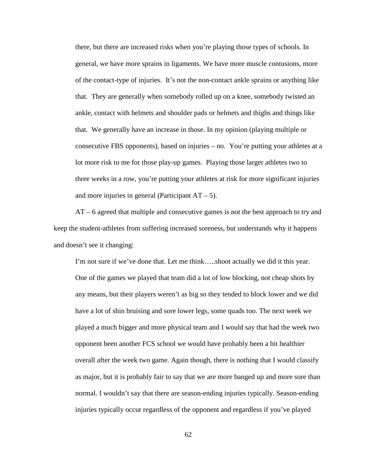there, but there are increased risks when you're playing those types of schools. In general, we have more sprains in ligaments. We have more muscle contusions, more of the contact-type of injuries. It's not the non-contact ankle sprains or anything like that. They are generally when somebody rolled up on a knee, somebody twisted an ankle, contact with helmets and shoulder pads or helmets and thighs and things like that. We generally have an increase in those. In my opinion (playing multiple or consecutive FBS opponents), based on injuries – no. You're putting your athletes at a lot more risk to me for those play-up games. Playing those larger athletes two to three weeks in a row, you're putting your athletes at risk for more significant injuries and more injuries in general (Participant  $AT - 5$ ).

AT – 6 agreed that multiple and consecutive games is not the best approach to try and keep the student-athletes from suffering increased soreness, but understands why it happens and doesn't see it changing:

I'm not sure if we've done that. Let me think…..shoot actually we did it this year. One of the games we played that team did a lot of low blocking, not cheap shots by any means, but their players weren't as big so they tended to block lower and we did have a lot of shin bruising and sore lower legs, some quads too. The next week we played a much bigger and more physical team and I would say that had the week two opponent been another FCS school we would have probably been a bit healthier overall after the week two game. Again though, there is nothing that I would classify as major, but it is probably fair to say that we are more banged up and more sore than normal. I wouldn't say that there are season-ending injuries typically. Season-ending injuries typically occur regardless of the opponent and regardless if you've played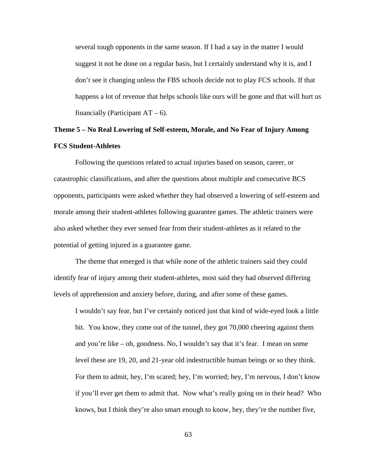several tough opponents in the same season. If I had a say in the matter I would suggest it not be done on a regular basis, but I certainly understand why it is, and I don't see it changing unless the FBS schools decide not to play FCS schools. If that happens a lot of revenue that helps schools like ours will be gone and that will hurt us financially (Participant  $AT - 6$ ).

# **Theme 5 – No Real Lowering of Self-esteem, Morale, and No Fear of Injury Among FCS Student-Athletes**

Following the questions related to actual injuries based on season, career, or catastrophic classifications, and after the questions about multiple and consecutive BCS opponents, participants were asked whether they had observed a lowering of self-esteem and morale among their student-athletes following guarantee games. The athletic trainers were also asked whether they ever sensed fear from their student-athletes as it related to the potential of getting injured in a guarantee game.

The theme that emerged is that while none of the athletic trainers said they could identify fear of injury among their student-athletes, most said they had observed differing levels of apprehension and anxiety before, during, and after some of these games.

I wouldn't say fear, but I've certainly noticed just that kind of wide-eyed look a little bit. You know, they come out of the tunnel, they got 70,000 cheering against them and you're like – oh, goodness. No, I wouldn't say that it's fear. I mean on some level these are 19, 20, and 21-year old indestructible human beings or so they think. For them to admit, hey, I'm scared; hey, I'm worried; hey, I'm nervous, I don't know if you'll ever get them to admit that. Now what's really going on in their head? Who knows, but I think they're also smart enough to know, hey, they're the number five,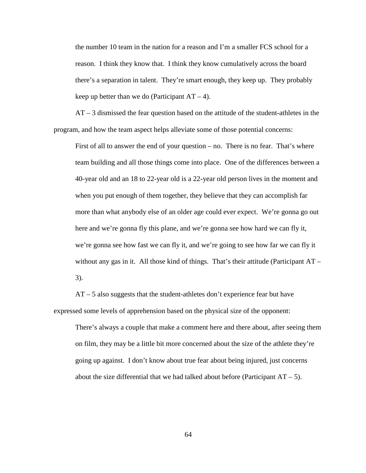the number 10 team in the nation for a reason and I'm a smaller FCS school for a reason. I think they know that. I think they know cumulatively across the board there's a separation in talent. They're smart enough, they keep up. They probably keep up better than we do (Participant  $AT - 4$ ).

AT – 3 dismissed the fear question based on the attitude of the student-athletes in the program, and how the team aspect helps alleviate some of those potential concerns:

First of all to answer the end of your question – no. There is no fear. That's where team building and all those things come into place. One of the differences between a 40-year old and an 18 to 22-year old is a 22-year old person lives in the moment and when you put enough of them together, they believe that they can accomplish far more than what anybody else of an older age could ever expect. We're gonna go out here and we're gonna fly this plane, and we're gonna see how hard we can fly it, we're gonna see how fast we can fly it, and we're going to see how far we can fly it without any gas in it. All those kind of things. That's their attitude (Participant  $AT -$ 3).

AT – 5 also suggests that the student-athletes don't experience fear but have expressed some levels of apprehension based on the physical size of the opponent:

There's always a couple that make a comment here and there about, after seeing them on film, they may be a little bit more concerned about the size of the athlete they're going up against. I don't know about true fear about being injured, just concerns about the size differential that we had talked about before (Participant  $AT - 5$ ).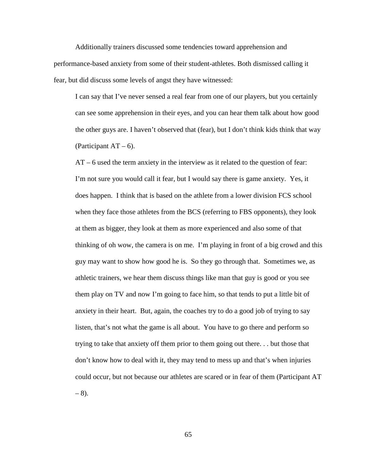Additionally trainers discussed some tendencies toward apprehension and performance-based anxiety from some of their student-athletes. Both dismissed calling it fear, but did discuss some levels of angst they have witnessed:

I can say that I've never sensed a real fear from one of our players, but you certainly can see some apprehension in their eyes, and you can hear them talk about how good the other guys are. I haven't observed that (fear), but I don't think kids think that way (Participant  $AT - 6$ ).

AT – 6 used the term anxiety in the interview as it related to the question of fear: I'm not sure you would call it fear, but I would say there is game anxiety. Yes, it does happen. I think that is based on the athlete from a lower division FCS school when they face those athletes from the BCS (referring to FBS opponents), they look at them as bigger, they look at them as more experienced and also some of that thinking of oh wow, the camera is on me. I'm playing in front of a big crowd and this guy may want to show how good he is. So they go through that. Sometimes we, as athletic trainers, we hear them discuss things like man that guy is good or you see them play on TV and now I'm going to face him, so that tends to put a little bit of anxiety in their heart. But, again, the coaches try to do a good job of trying to say listen, that's not what the game is all about. You have to go there and perform so trying to take that anxiety off them prior to them going out there. . . but those that don't know how to deal with it, they may tend to mess up and that's when injuries could occur, but not because our athletes are scared or in fear of them (Participant AT  $-8$ ).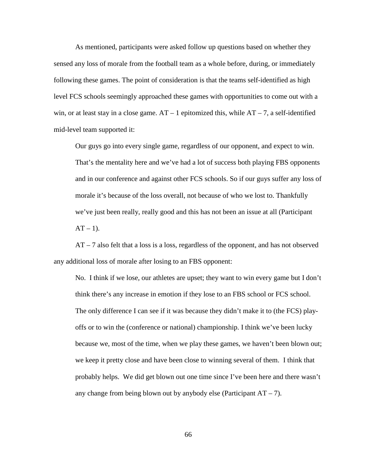As mentioned, participants were asked follow up questions based on whether they sensed any loss of morale from the football team as a whole before, during, or immediately following these games. The point of consideration is that the teams self-identified as high level FCS schools seemingly approached these games with opportunities to come out with a win, or at least stay in a close game.  $AT - 1$  epitomized this, while  $AT - 7$ , a self-identified mid-level team supported it:

Our guys go into every single game, regardless of our opponent, and expect to win. That's the mentality here and we've had a lot of success both playing FBS opponents and in our conference and against other FCS schools. So if our guys suffer any loss of morale it's because of the loss overall, not because of who we lost to. Thankfully we've just been really, really good and this has not been an issue at all (Participant  $AT - 1$ ).

AT – 7 also felt that a loss is a loss, regardless of the opponent, and has not observed any additional loss of morale after losing to an FBS opponent:

No. I think if we lose, our athletes are upset; they want to win every game but I don't think there's any increase in emotion if they lose to an FBS school or FCS school. The only difference I can see if it was because they didn't make it to (the FCS) playoffs or to win the (conference or national) championship. I think we've been lucky because we, most of the time, when we play these games, we haven't been blown out; we keep it pretty close and have been close to winning several of them. I think that probably helps. We did get blown out one time since I've been here and there wasn't any change from being blown out by anybody else (Participant  $AT - 7$ ).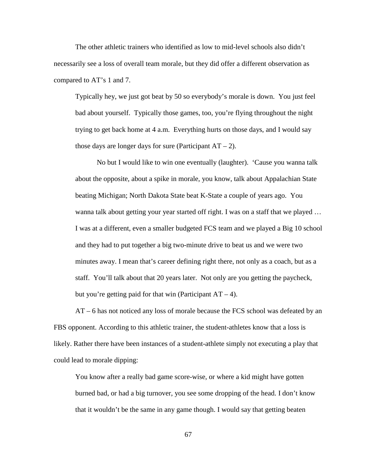The other athletic trainers who identified as low to mid-level schools also didn't necessarily see a loss of overall team morale, but they did offer a different observation as compared to AT's 1 and 7.

Typically hey, we just got beat by 50 so everybody's morale is down. You just feel bad about yourself. Typically those games, too, you're flying throughout the night trying to get back home at 4 a.m. Everything hurts on those days, and I would say those days are longer days for sure (Participant  $AT - 2$ ).

No but I would like to win one eventually (laughter). 'Cause you wanna talk about the opposite, about a spike in morale, you know, talk about Appalachian State beating Michigan; North Dakota State beat K-State a couple of years ago. You wanna talk about getting your year started off right. I was on a staff that we played … I was at a different, even a smaller budgeted FCS team and we played a Big 10 school and they had to put together a big two-minute drive to beat us and we were two minutes away. I mean that's career defining right there, not only as a coach, but as a staff. You'll talk about that 20 years later. Not only are you getting the paycheck, but you're getting paid for that win (Participant  $AT - 4$ ).

AT – 6 has not noticed any loss of morale because the FCS school was defeated by an FBS opponent. According to this athletic trainer, the student-athletes know that a loss is likely. Rather there have been instances of a student-athlete simply not executing a play that could lead to morale dipping:

You know after a really bad game score-wise, or where a kid might have gotten burned bad, or had a big turnover, you see some dropping of the head. I don't know that it wouldn't be the same in any game though. I would say that getting beaten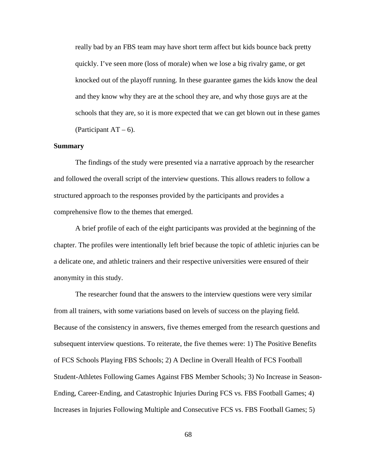really bad by an FBS team may have short term affect but kids bounce back pretty quickly. I've seen more (loss of morale) when we lose a big rivalry game, or get knocked out of the playoff running. In these guarantee games the kids know the deal and they know why they are at the school they are, and why those guys are at the schools that they are, so it is more expected that we can get blown out in these games (Participant  $AT - 6$ ).

#### **Summary**

The findings of the study were presented via a narrative approach by the researcher and followed the overall script of the interview questions. This allows readers to follow a structured approach to the responses provided by the participants and provides a comprehensive flow to the themes that emerged.

A brief profile of each of the eight participants was provided at the beginning of the chapter. The profiles were intentionally left brief because the topic of athletic injuries can be a delicate one, and athletic trainers and their respective universities were ensured of their anonymity in this study.

The researcher found that the answers to the interview questions were very similar from all trainers, with some variations based on levels of success on the playing field. Because of the consistency in answers, five themes emerged from the research questions and subsequent interview questions. To reiterate, the five themes were: 1) The Positive Benefits of FCS Schools Playing FBS Schools; 2) A Decline in Overall Health of FCS Football Student-Athletes Following Games Against FBS Member Schools; 3) No Increase in Season-Ending, Career-Ending, and Catastrophic Injuries During FCS vs. FBS Football Games; 4) Increases in Injuries Following Multiple and Consecutive FCS vs. FBS Football Games; 5)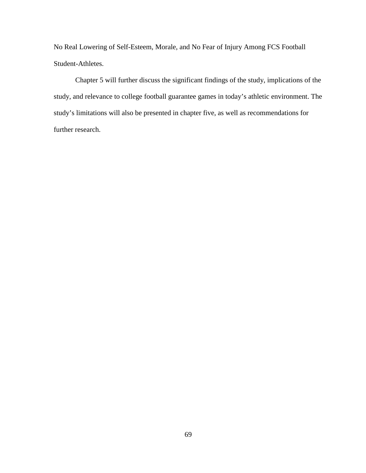No Real Lowering of Self-Esteem, Morale, and No Fear of Injury Among FCS Football Student-Athletes.

Chapter 5 will further discuss the significant findings of the study, implications of the study, and relevance to college football guarantee games in today's athletic environment. The study's limitations will also be presented in chapter five, as well as recommendations for further research.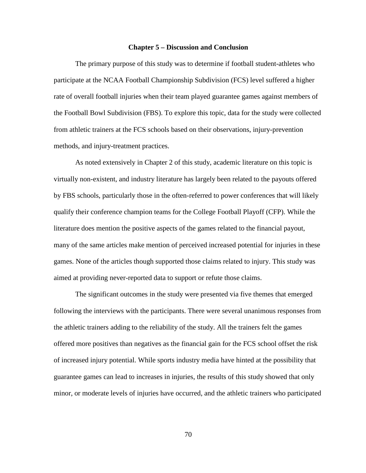#### **Chapter 5 – Discussion and Conclusion**

The primary purpose of this study was to determine if football student-athletes who participate at the NCAA Football Championship Subdivision (FCS) level suffered a higher rate of overall football injuries when their team played guarantee games against members of the Football Bowl Subdivision (FBS). To explore this topic, data for the study were collected from athletic trainers at the FCS schools based on their observations, injury-prevention methods, and injury-treatment practices.

As noted extensively in Chapter 2 of this study, academic literature on this topic is virtually non-existent, and industry literature has largely been related to the payouts offered by FBS schools, particularly those in the often-referred to power conferences that will likely qualify their conference champion teams for the College Football Playoff (CFP). While the literature does mention the positive aspects of the games related to the financial payout, many of the same articles make mention of perceived increased potential for injuries in these games. None of the articles though supported those claims related to injury. This study was aimed at providing never-reported data to support or refute those claims.

The significant outcomes in the study were presented via five themes that emerged following the interviews with the participants. There were several unanimous responses from the athletic trainers adding to the reliability of the study. All the trainers felt the games offered more positives than negatives as the financial gain for the FCS school offset the risk of increased injury potential. While sports industry media have hinted at the possibility that guarantee games can lead to increases in injuries, the results of this study showed that only minor, or moderate levels of injuries have occurred, and the athletic trainers who participated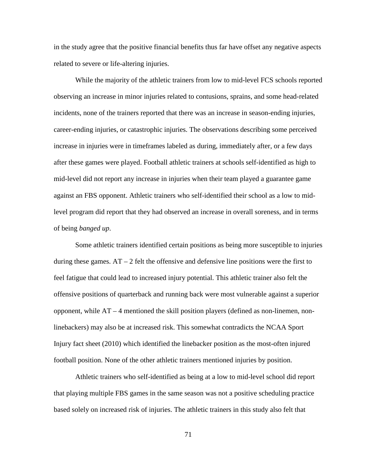in the study agree that the positive financial benefits thus far have offset any negative aspects related to severe or life-altering injuries.

While the majority of the athletic trainers from low to mid-level FCS schools reported observing an increase in minor injuries related to contusions, sprains, and some head-related incidents, none of the trainers reported that there was an increase in season-ending injuries, career-ending injuries, or catastrophic injuries. The observations describing some perceived increase in injuries were in timeframes labeled as during, immediately after, or a few days after these games were played. Football athletic trainers at schools self-identified as high to mid-level did not report any increase in injuries when their team played a guarantee game against an FBS opponent. Athletic trainers who self-identified their school as a low to midlevel program did report that they had observed an increase in overall soreness, and in terms of being *banged up*.

Some athletic trainers identified certain positions as being more susceptible to injuries during these games.  $AT - 2$  felt the offensive and defensive line positions were the first to feel fatigue that could lead to increased injury potential. This athletic trainer also felt the offensive positions of quarterback and running back were most vulnerable against a superior opponent, while AT – 4 mentioned the skill position players (defined as non-linemen, nonlinebackers) may also be at increased risk. This somewhat contradicts the NCAA Sport Injury fact sheet (2010) which identified the linebacker position as the most-often injured football position. None of the other athletic trainers mentioned injuries by position.

Athletic trainers who self-identified as being at a low to mid-level school did report that playing multiple FBS games in the same season was not a positive scheduling practice based solely on increased risk of injuries. The athletic trainers in this study also felt that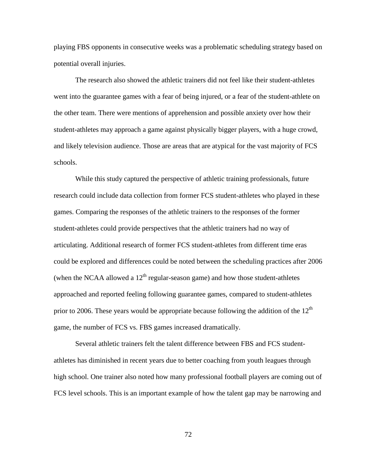playing FBS opponents in consecutive weeks was a problematic scheduling strategy based on potential overall injuries.

The research also showed the athletic trainers did not feel like their student-athletes went into the guarantee games with a fear of being injured, or a fear of the student-athlete on the other team. There were mentions of apprehension and possible anxiety over how their student-athletes may approach a game against physically bigger players, with a huge crowd, and likely television audience. Those are areas that are atypical for the vast majority of FCS schools.

While this study captured the perspective of athletic training professionals, future research could include data collection from former FCS student-athletes who played in these games. Comparing the responses of the athletic trainers to the responses of the former student-athletes could provide perspectives that the athletic trainers had no way of articulating. Additional research of former FCS student-athletes from different time eras could be explored and differences could be noted between the scheduling practices after 2006 (when the NCAA allowed a  $12<sup>th</sup>$  regular-season game) and how those student-athletes approached and reported feeling following guarantee games, compared to student-athletes prior to 2006. These years would be appropriate because following the addition of the  $12<sup>th</sup>$ game, the number of FCS vs. FBS games increased dramatically.

Several athletic trainers felt the talent difference between FBS and FCS studentathletes has diminished in recent years due to better coaching from youth leagues through high school. One trainer also noted how many professional football players are coming out of FCS level schools. This is an important example of how the talent gap may be narrowing and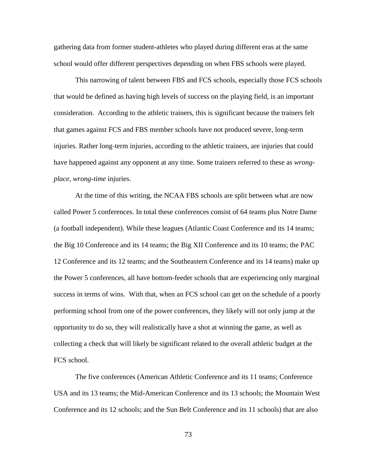gathering data from former student-athletes who played during different eras at the same school would offer different perspectives depending on when FBS schools were played.

This narrowing of talent between FBS and FCS schools, especially those FCS schools that would be defined as having high levels of success on the playing field, is an important consideration. According to the athletic trainers, this is significant because the trainers felt that games against FCS and FBS member schools have not produced severe, long-term injuries. Rather long-term injuries, according to the athletic trainers, are injuries that could have happened against any opponent at any time. Some trainers referred to these as *wrongplace, wrong-time* injuries.

At the time of this writing, the NCAA FBS schools are split between what are now called Power 5 conferences. In total these conferences consist of 64 teams plus Notre Dame (a football independent). While these leagues (Atlantic Coast Conference and its 14 teams; the Big 10 Conference and its 14 teams; the Big XII Conference and its 10 teams; the PAC 12 Conference and its 12 teams; and the Southeastern Conference and its 14 teams) make up the Power 5 conferences, all have bottom-feeder schools that are experiencing only marginal success in terms of wins. With that, when an FCS school can get on the schedule of a poorly performing school from one of the power conferences, they likely will not only jump at the opportunity to do so, they will realistically have a shot at winning the game, as well as collecting a check that will likely be significant related to the overall athletic budget at the FCS school.

The five conferences (American Athletic Conference and its 11 teams; Conference USA and its 13 teams; the Mid-American Conference and its 13 schools; the Mountain West Conference and its 12 schools; and the Sun Belt Conference and its 11 schools) that are also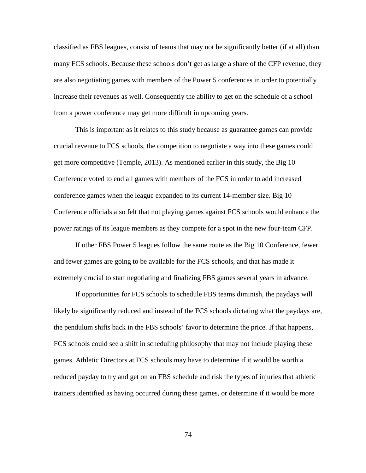classified as FBS leagues, consist of teams that may not be significantly better (if at all) than many FCS schools. Because these schools don't get as large a share of the CFP revenue, they are also negotiating games with members of the Power 5 conferences in order to potentially increase their revenues as well. Consequently the ability to get on the schedule of a school from a power conference may get more difficult in upcoming years.

This is important as it relates to this study because as guarantee games can provide crucial revenue to FCS schools, the competition to negotiate a way into these games could get more competitive (Temple, 2013). As mentioned earlier in this study, the Big 10 Conference voted to end all games with members of the FCS in order to add increased conference games when the league expanded to its current 14-member size. Big 10 Conference officials also felt that not playing games against FCS schools would enhance the power ratings of its league members as they compete for a spot in the new four-team CFP.

If other FBS Power 5 leagues follow the same route as the Big 10 Conference, fewer and fewer games are going to be available for the FCS schools, and that has made it extremely crucial to start negotiating and finalizing FBS games several years in advance.

If opportunities for FCS schools to schedule FBS teams diminish, the paydays will likely be significantly reduced and instead of the FCS schools dictating what the paydays are, the pendulum shifts back in the FBS schools' favor to determine the price. If that happens, FCS schools could see a shift in scheduling philosophy that may not include playing these games. Athletic Directors at FCS schools may have to determine if it would be worth a reduced payday to try and get on an FBS schedule and risk the types of injuries that athletic trainers identified as having occurred during these games, or determine if it would be more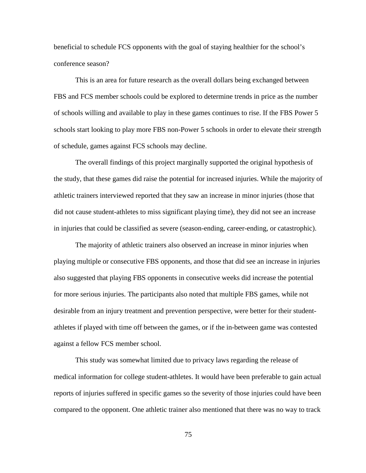beneficial to schedule FCS opponents with the goal of staying healthier for the school's conference season?

This is an area for future research as the overall dollars being exchanged between FBS and FCS member schools could be explored to determine trends in price as the number of schools willing and available to play in these games continues to rise. If the FBS Power 5 schools start looking to play more FBS non-Power 5 schools in order to elevate their strength of schedule, games against FCS schools may decline.

The overall findings of this project marginally supported the original hypothesis of the study, that these games did raise the potential for increased injuries. While the majority of athletic trainers interviewed reported that they saw an increase in minor injuries (those that did not cause student-athletes to miss significant playing time), they did not see an increase in injuries that could be classified as severe (season-ending, career-ending, or catastrophic).

The majority of athletic trainers also observed an increase in minor injuries when playing multiple or consecutive FBS opponents, and those that did see an increase in injuries also suggested that playing FBS opponents in consecutive weeks did increase the potential for more serious injuries. The participants also noted that multiple FBS games, while not desirable from an injury treatment and prevention perspective, were better for their studentathletes if played with time off between the games, or if the in-between game was contested against a fellow FCS member school.

This study was somewhat limited due to privacy laws regarding the release of medical information for college student-athletes. It would have been preferable to gain actual reports of injuries suffered in specific games so the severity of those injuries could have been compared to the opponent. One athletic trainer also mentioned that there was no way to track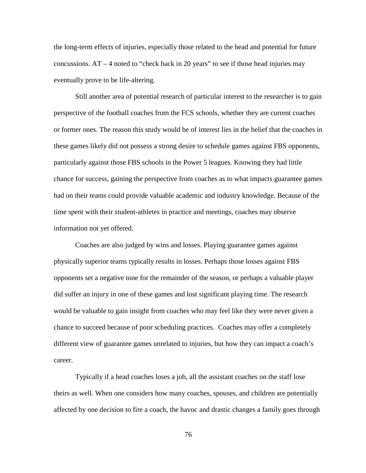the long-term effects of injuries, especially those related to the head and potential for future concussions.  $AT - 4$  noted to "check back in 20 years" to see if those head injuries may eventually prove to be life-altering.

Still another area of potential research of particular interest to the researcher is to gain perspective of the football coaches from the FCS schools, whether they are current coaches or former ones. The reason this study would be of interest lies in the belief that the coaches in these games likely did not possess a strong desire to schedule games against FBS opponents, particularly against those FBS schools in the Power 5 leagues. Knowing they had little chance for success, gaining the perspective from coaches as to what impacts guarantee games had on their teams could provide valuable academic and industry knowledge. Because of the time spent with their student-athletes in practice and meetings, coaches may observe information not yet offered.

Coaches are also judged by wins and losses. Playing guarantee games against physically superior teams typically results in losses. Perhaps those losses against FBS opponents set a negative tone for the remainder of the season, or perhaps a valuable player did suffer an injury in one of these games and lost significant playing time. The research would be valuable to gain insight from coaches who may feel like they were never given a chance to succeed because of poor scheduling practices. Coaches may offer a completely different view of guarantee games unrelated to injuries, but how they can impact a coach's career.

Typically if a head coaches loses a job, all the assistant coaches on the staff lose theirs as well. When one considers how many coaches, spouses, and children are potentially affected by one decision to fire a coach, the havoc and drastic changes a family goes through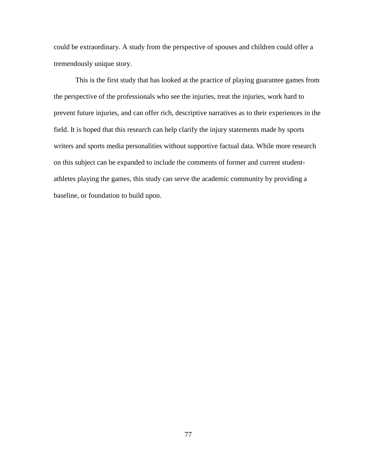could be extraordinary. A study from the perspective of spouses and children could offer a tremendously unique story.

This is the first study that has looked at the practice of playing guarantee games from the perspective of the professionals who see the injuries, treat the injuries, work hard to prevent future injuries, and can offer rich, descriptive narratives as to their experiences in the field. It is hoped that this research can help clarify the injury statements made by sports writers and sports media personalities without supportive factual data. While more research on this subject can be expanded to include the comments of former and current studentathletes playing the games, this study can serve the academic community by providing a baseline, or foundation to build upon.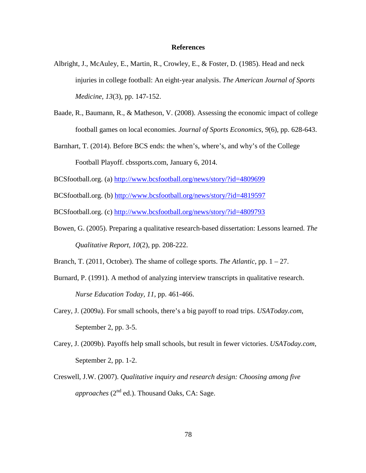#### **References**

- Albright, J., McAuley, E., Martin, R., Crowley, E., & Foster, D. (1985). Head and neck injuries in college football: An eight-year analysis. *The American Journal of Sports Medicine, 13*(3), pp. 147-152.
- Baade, R., Baumann, R., & Matheson, V. (2008). Assessing the economic impact of college football games on local economies. *Journal of Sports Economics, 9*(6), pp. 628-643.
- Barnhart, T. (2014). Before BCS ends: the when's, where's, and why's of the College Football Playoff. cbssports.com, January 6, 2014.
- BCSfootball.org. (a) <http://www.bcsfootball.org/news/story/?id=4809699>
- BCSfootball.org. (b) <http://www.bcsfootball.org/news/story/?id=4819597>

BCSfootball.org. (c)<http://www.bcsfootball.org/news/story/?id=4809793>

Bowen, G. (2005). Preparing a qualitative research-based dissertation: Lessons learned. *The Qualitative Report, 10*(2), pp. 208-222.

Branch, T. (2011, October). The shame of college sports. *The Atlantic*, pp. 1 – 27.

- Burnard, P. (1991). A method of analyzing interview transcripts in qualitative research. *Nurse Education Today, 11*, pp. 461-466.
- Carey, J. (2009a). For small schools, there's a big payoff to road trips. *USAToday.com*, September 2, pp. 3-5.
- Carey, J. (2009b). Payoffs help small schools, but result in fewer victories. *USAToday.com*, September 2, pp. 1-2.
- Creswell, J.W. (2007). *Qualitative inquiry and research design: Choosing among five approaches* (2<sup>nd</sup> ed.). Thousand Oaks, CA: Sage.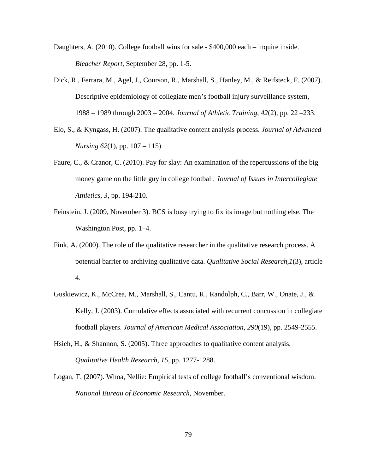- Daughters, A. (2010). College football wins for sale \$400,000 each inquire inside. *Bleacher Report,* September 28, pp. 1-5.
- Dick, R., Ferrara, M., Agel, J., Courson, R., Marshall, S., Hanley, M., & Reifsteck, F. (2007). Descriptive epidemiology of collegiate men's football injury surveillance system, 1988 – 1989 through 2003 – 2004. *Journal of Athletic Training*, *42*(2), pp. 22 –233.
- Elo, S., & Kyngass, H. (2007). The qualitative content analysis process. *Journal of Advanced Nursing 62*(1), pp. 107 – 115)
- Faure, C., & Cranor, C. (2010). Pay for slay: An examination of the repercussions of the big money game on the little guy in college football. *Journal of Issues in Intercollegiate Athletics, 3*, pp. 194-210.
- Feinstein, J. (2009, November 3). BCS is busy trying to fix its image but nothing else. The Washington Post, pp. 1–4.
- Fink, A. (2000). The role of the qualitative researcher in the qualitative research process. A potential barrier to archiving qualitative data. *Qualitative Social Research,1*(3), article 4.
- Guskiewicz, K., McCrea, M., Marshall, S., Cantu, R., Randolph, C., Barr, W., Onate, J., & Kelly, J. (2003). Cumulative effects associated with recurrent concussion in collegiate football players. *Journal of American Medical Association, 290*(19), pp. 2549-2555.
- Hsieh, H., & Shannon, S. (2005). Three approaches to qualitative content analysis. *Qualitative Health Research, 15*, pp. 1277-1288.
- Logan, T. (2007). Whoa, Nellie: Empirical tests of college football's conventional wisdom. *National Bureau of Economic Research*, November.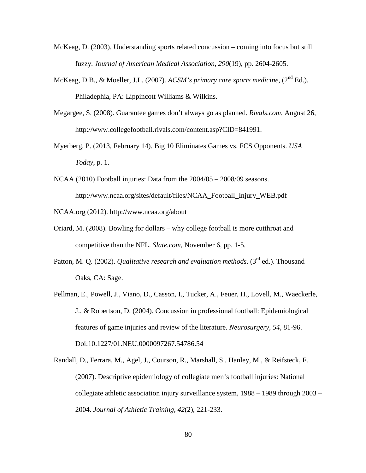- McKeag, D. (2003). Understanding sports related concussion coming into focus but still fuzzy. *Journal of American Medical Association, 290*(19), pp. 2604-2605.
- McKeag, D.B., & Moeller, J.L. (2007). *ACSM's primary care sports medicine*, (2nd Ed.). Philadephia, PA: Lippincott Williams & Wilkins.
- Megargee, S. (2008). Guarantee games don't always go as planned. *Rivals.com*, August 26, http://www.collegefootball.rivals.com/content.asp?CID=841991.
- Myerberg, P. (2013, February 14). Big 10 Eliminates Games vs. FCS Opponents. *USA Today*, p. 1.
- NCAA (2010) Football injuries: Data from the 2004/05 2008/09 seasons. http://www.ncaa.org/sites/default/files/NCAA\_Football\_Injury\_WEB.pdf NCAA.org (2012). http://www.ncaa.org/about
- Oriard, M. (2008). Bowling for dollars why college football is more cutthroat and competitive than the NFL. *Slate.com*, November 6, pp. 1-5.
- Patton, M. Q. (2002). *Qualitative research and evaluation methods*. (3<sup>rd</sup> ed.). Thousand Oaks, CA: Sage.
- Pellman, E., Powell, J., Viano, D., Casson, I., Tucker, A., Feuer, H., Lovell, M., Waeckerle, J., & Robertson, D. (2004). Concussion in professional football: Epidemiological features of game injuries and review of the literature. *Neurosurgery, 54*, 81-96. Doi:10.1227/01.NEU.0000097267.54786.54
- Randall, D., Ferrara, M., Agel, J., Courson, R., Marshall, S., Hanley, M., & Reifsteck, F. (2007). Descriptive epidemiology of collegiate men's football injuries: National collegiate athletic association injury surveillance system, 1988 – 1989 through 2003 – 2004. *Journal of Athletic Training, 42*(2), 221-233.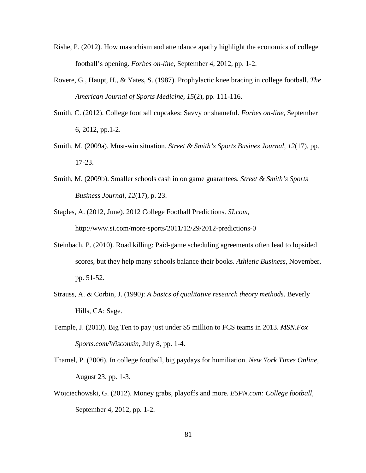- Rishe, P. (2012). How masochism and attendance apathy highlight the economics of college football's opening. *Forbes on-line*, September 4, 2012, pp. 1-2.
- Rovere, G., Haupt, H., & Yates, S. (1987). Prophylactic knee bracing in college football. *The American Journal of Sports Medicine, 15*(2), pp. 111-116.
- Smith, C. (2012). College football cupcakes: Savvy or shameful. *Forbes on-line*, September 6, 2012, pp.1-2.
- Smith, M. (2009a). Must-win situation. *Street & Smith's Sports Busines Journal, 12*(17), pp. 17-23.
- Smith, M. (2009b). Smaller schools cash in on game guarantees. *Street & Smith's Sports Business Journal, 12*(17), p. 23.
- Staples, A. (2012, June). 2012 College Football Predictions. *SI.com*, http://www.si.com/more-sports/2011/12/29/2012-predictions-0
- Steinbach, P. (2010). Road killing: Paid-game scheduling agreements often lead to lopsided scores, but they help many schools balance their books. *Athletic Business*, November, pp. 51-52.
- Strauss, A. & Corbin, J. (1990): *A basics of qualitative research theory methods*. Beverly Hills, CA: Sage.
- Temple, J. (2013). Big Ten to pay just under \$5 million to FCS teams in 2013. *MSN.Fox Sports.com/Wisconsin*, July 8, pp. 1-4.
- Thamel, P. (2006). In college football, big paydays for humiliation. *New York Times Online*, August 23, pp. 1-3.
- Wojciechowski, G. (2012). Money grabs, playoffs and more. *ESPN.com: College football*, September 4, 2012, pp. 1-2.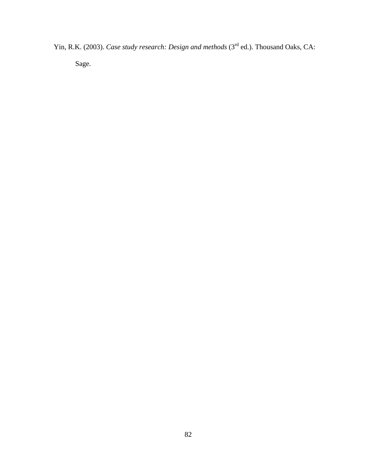Yin, R.K. (2003). *Case study research: Design and methods* (3<sup>rd</sup> ed.). Thousand Oaks, CA:

Sage.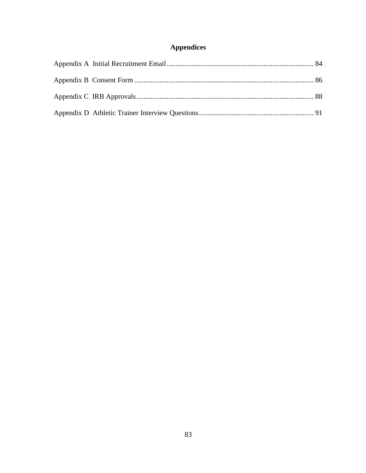## Appendices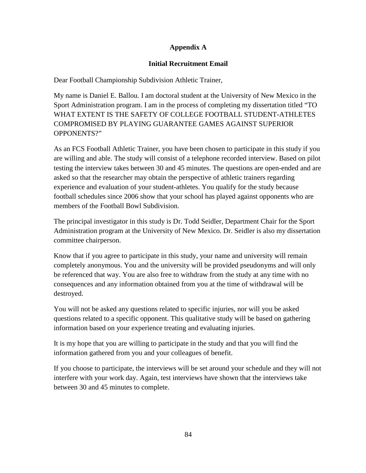### **Appendix A**

#### **Initial Recruitment Email**

<span id="page-93-0"></span>Dear Football Championship Subdivision Athletic Trainer,

My name is Daniel E. Ballou. I am doctoral student at the University of New Mexico in the Sport Administration program. I am in the process of completing my dissertation titled "TO WHAT EXTENT IS THE SAFETY OF COLLEGE FOOTBALL STUDENT-ATHLETES COMPROMISED BY PLAYING GUARANTEE GAMES AGAINST SUPERIOR OPPONENTS?"

As an FCS Football Athletic Trainer, you have been chosen to participate in this study if you are willing and able. The study will consist of a telephone recorded interview. Based on pilot testing the interview takes between 30 and 45 minutes. The questions are open-ended and are asked so that the researcher may obtain the perspective of athletic trainers regarding experience and evaluation of your student-athletes. You qualify for the study because football schedules since 2006 show that your school has played against opponents who are members of the Football Bowl Subdivision.

The principal investigator in this study is Dr. Todd Seidler, Department Chair for the Sport Administration program at the University of New Mexico. Dr. Seidler is also my dissertation committee chairperson.

Know that if you agree to participate in this study, your name and university will remain completely anonymous. You and the university will be provided pseudonyms and will only be referenced that way. You are also free to withdraw from the study at any time with no consequences and any information obtained from you at the time of withdrawal will be destroyed.

You will not be asked any questions related to specific injuries, nor will you be asked questions related to a specific opponent. This qualitative study will be based on gathering information based on your experience treating and evaluating injuries.

It is my hope that you are willing to participate in the study and that you will find the information gathered from you and your colleagues of benefit.

If you choose to participate, the interviews will be set around your schedule and they will not interfere with your work day. Again, test interviews have shown that the interviews take between 30 and 45 minutes to complete.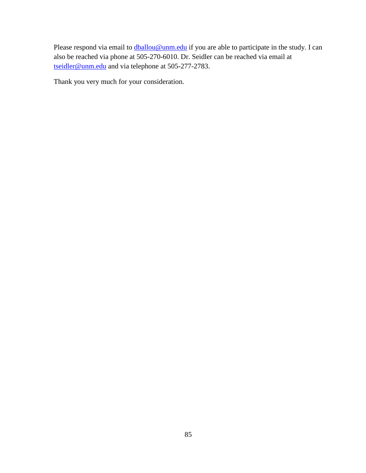Please respond via email to **dballou@unm.edu** if you are able to participate in the study. I can also be reached via phone at 505-270-6010. Dr. Seidler can be reached via email at [tseidler@unm.edu](mailto:tseidler@unm.edu) and via telephone at 505-277-2783.

Thank you very much for your consideration.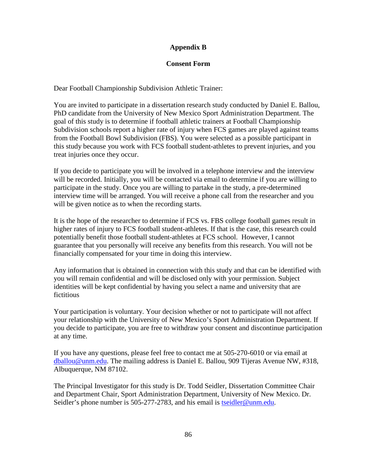### **Appendix B**

#### **Consent Form**

<span id="page-95-0"></span>Dear Football Championship Subdivision Athletic Trainer:

You are invited to participate in a dissertation research study conducted by Daniel E. Ballou, PhD candidate from the University of New Mexico Sport Administration Department. The goal of this study is to determine if football athletic trainers at Football Championship Subdivision schools report a higher rate of injury when FCS games are played against teams from the Football Bowl Subdivision (FBS). You were selected as a possible participant in this study because you work with FCS football student-athletes to prevent injuries, and you treat injuries once they occur.

If you decide to participate you will be involved in a telephone interview and the interview will be recorded. Initially, you will be contacted via email to determine if you are willing to participate in the study. Once you are willing to partake in the study, a pre-determined interview time will be arranged. You will receive a phone call from the researcher and you will be given notice as to when the recording starts.

It is the hope of the researcher to determine if FCS vs. FBS college football games result in higher rates of injury to FCS football student-athletes. If that is the case, this research could potentially benefit those football student-athletes at FCS school. However, I cannot guarantee that you personally will receive any benefits from this research. You will not be financially compensated for your time in doing this interview.

Any information that is obtained in connection with this study and that can be identified with you will remain confidential and will be disclosed only with your permission. Subject identities will be kept confidential by having you select a name and university that are fictitious

Your participation is voluntary. Your decision whether or not to participate will not affect your relationship with the University of New Mexico's Sport Administration Department. If you decide to participate, you are free to withdraw your consent and discontinue participation at any time.

If you have any questions, please feel free to contact me at 505-270-6010 or via email at [dballou@unm.edu.](mailto:dballou@unm.edu) The mailing address is Daniel E. Ballou, 909 Tijeras Avenue NW, #318, Albuquerque, NM 87102.

The Principal Investigator for this study is Dr. Todd Seidler, Dissertation Committee Chair and Department Chair, Sport Administration Department, University of New Mexico. Dr. Seidler's phone number is 505-277-2783, and his email is [tseidler@unm.edu.](mailto:tseidler@unm.edu)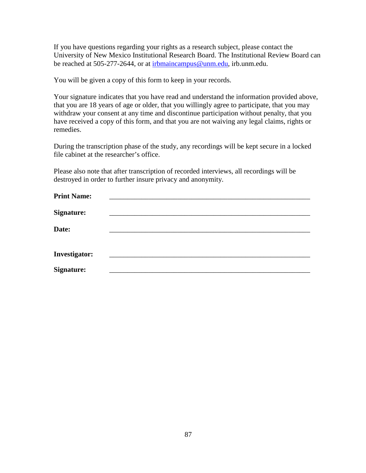If you have questions regarding your rights as a research subject, please contact the University of New Mexico Institutional Research Board. The Institutional Review Board can be reached at 505-277-2644, or at [irbmaincampus@unm.edu,](mailto:irbmaincampus@unm.edu) irb.unm.edu.

You will be given a copy of this form to keep in your records.

Your signature indicates that you have read and understand the information provided above, that you are 18 years of age or older, that you willingly agree to participate, that you may withdraw your consent at any time and discontinue participation without penalty, that you have received a copy of this form, and that you are not waiving any legal claims, rights or remedies.

During the transcription phase of the study, any recordings will be kept secure in a locked file cabinet at the researcher's office.

Please also note that after transcription of recorded interviews, all recordings will be destroyed in order to further insure privacy and anonymity.

| <b>Print Name:</b>   |  |  |
|----------------------|--|--|
| <b>Signature:</b>    |  |  |
| Date:                |  |  |
| <b>Investigator:</b> |  |  |
| <b>Signature:</b>    |  |  |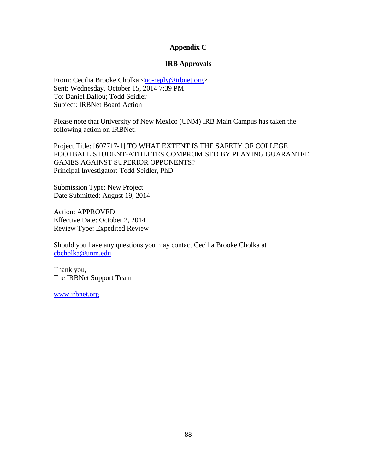#### **Appendix C**

#### **IRB Approvals**

<span id="page-97-0"></span>From: Cecilia Brooke Cholka [<no-reply@irbnet.org>](mailto:no-reply@irbnet.org) Sent: Wednesday, October 15, 2014 7:39 PM To: Daniel Ballou; Todd Seidler Subject: IRBNet Board Action

Please note that University of New Mexico (UNM) IRB Main Campus has taken the following action on IRBNet:

Project Title: [607717-1] TO WHAT EXTENT IS THE SAFETY OF COLLEGE FOOTBALL STUDENT-ATHLETES COMPROMISED BY PLAYING GUARANTEE GAMES AGAINST SUPERIOR OPPONENTS? Principal Investigator: Todd Seidler, PhD

Submission Type: New Project Date Submitted: August 19, 2014

Action: APPROVED Effective Date: October 2, 2014 Review Type: Expedited Review

Should you have any questions you may contact Cecilia Brooke Cholka at [cbcholka@unm.edu.](mailto:cbcholka@unm.edu)

Thank you, The IRBNet Support Team

[www.irbnet.org](http://www.irbnet.org/)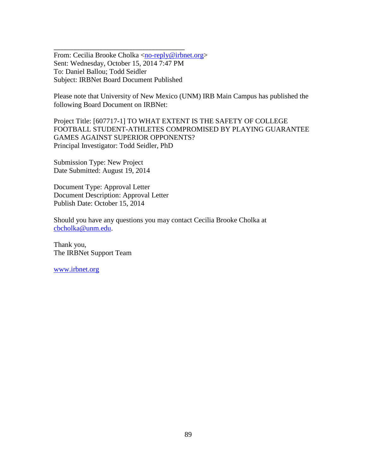From: Cecilia Brooke Cholka [<no-reply@irbnet.org>](mailto:no-reply@irbnet.org) Sent: Wednesday, October 15, 2014 7:47 PM To: Daniel Ballou; Todd Seidler Subject: IRBNet Board Document Published

\_\_\_\_\_\_\_\_\_\_\_\_\_\_\_\_\_\_\_\_\_\_\_\_\_\_\_\_\_\_\_\_\_\_\_\_\_\_\_\_

Please note that University of New Mexico (UNM) IRB Main Campus has published the following Board Document on IRBNet:

Project Title: [607717-1] TO WHAT EXTENT IS THE SAFETY OF COLLEGE FOOTBALL STUDENT-ATHLETES COMPROMISED BY PLAYING GUARANTEE GAMES AGAINST SUPERIOR OPPONENTS? Principal Investigator: Todd Seidler, PhD

Submission Type: New Project Date Submitted: August 19, 2014

Document Type: Approval Letter Document Description: Approval Letter Publish Date: October 15, 2014

Should you have any questions you may contact Cecilia Brooke Cholka at [cbcholka@unm.edu.](mailto:cbcholka@unm.edu)

Thank you, The IRBNet Support Team

[www.irbnet.org](http://www.irbnet.org/)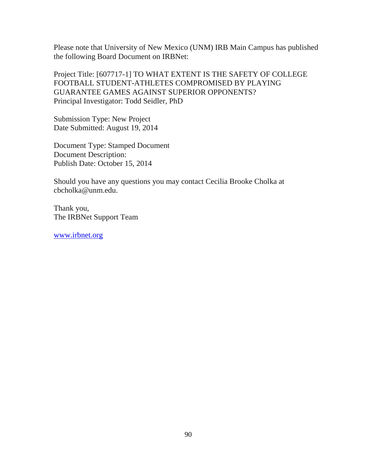Please note that University of New Mexico (UNM) IRB Main Campus has published the following Board Document on IRBNet:

Project Title: [607717-1] TO WHAT EXTENT IS THE SAFETY OF COLLEGE FOOTBALL STUDENT-ATHLETES COMPROMISED BY PLAYING GUARANTEE GAMES AGAINST SUPERIOR OPPONENTS? Principal Investigator: Todd Seidler, PhD

Submission Type: New Project Date Submitted: August 19, 2014

Document Type: Stamped Document Document Description: Publish Date: October 15, 2014

Should you have any questions you may contact Cecilia Brooke Cholka at cbcholka@unm.edu.

Thank you, The IRBNet Support Team

[www.irbnet.org](http://www.irbnet.org/)